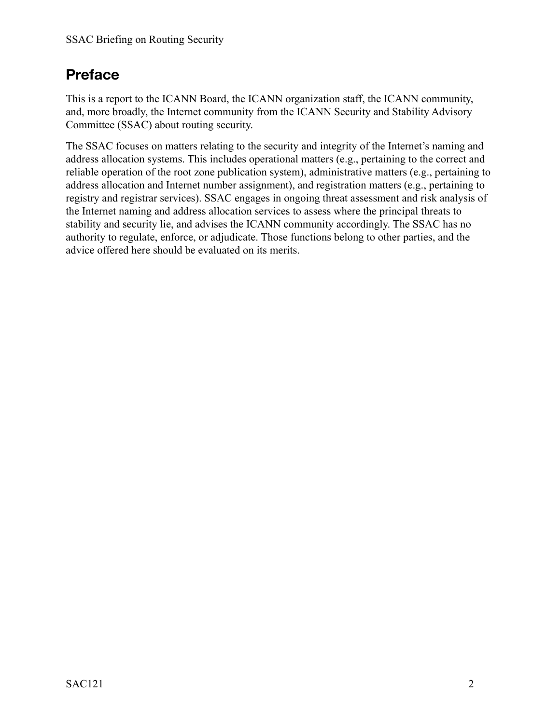## **Preface**

This is a report to the ICANN Board, the ICANN organization staff, the ICANN community, and, more broadly, the Internet community from the ICANN Security and Stability Advisory Committee (SSAC) about routing security.

The SSAC focuses on matters relating to the security and integrity of the Internet's naming and address allocation systems. This includes operational matters (e.g., pertaining to the correct and reliable operation of the root zone publication system), administrative matters (e.g., pertaining to address allocation and Internet number assignment), and registration matters (e.g., pertaining to registry and registrar services). SSAC engages in ongoing threat assessment and risk analysis of the Internet naming and address allocation services to assess where the principal threats to stability and security lie, and advises the ICANN community accordingly. The SSAC has no authority to regulate, enforce, or adjudicate. Those functions belong to other parties, and the advice offered here should be evaluated on its merits.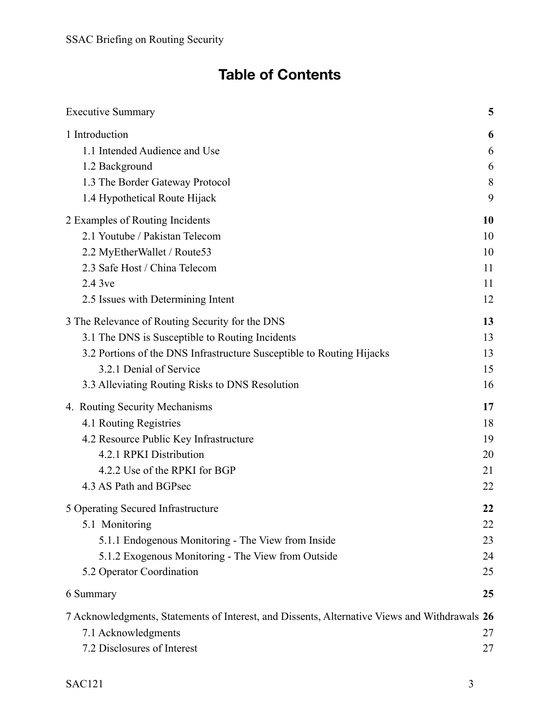# **Table of Contents**

| <b>Executive Summary</b>                                                                      | 5           |
|-----------------------------------------------------------------------------------------------|-------------|
| 1 Introduction<br>1.1 Intended Audience and Use                                               | 6<br>6      |
| 1.2 Background<br>1.3 The Border Gateway Protocol                                             | 6<br>8<br>9 |
| 1.4 Hypothetical Route Hijack                                                                 |             |
| 2 Examples of Routing Incidents<br>2.1 Youtube / Pakistan Telecom                             | 10<br>10    |
| 2.2 MyEtherWallet / Route53                                                                   | 10          |
| 2.3 Safe Host / China Telecom                                                                 | 11          |
| 2.4 3ve                                                                                       | 11          |
| 2.5 Issues with Determining Intent                                                            | 12          |
| 3 The Relevance of Routing Security for the DNS                                               | 13          |
| 3.1 The DNS is Susceptible to Routing Incidents                                               | 13          |
| 3.2 Portions of the DNS Infrastructure Susceptible to Routing Hijacks                         | 13          |
| 3.2.1 Denial of Service                                                                       | 15          |
| 3.3 Alleviating Routing Risks to DNS Resolution                                               | 16          |
| 4. Routing Security Mechanisms                                                                | 17          |
| 4.1 Routing Registries                                                                        | 18          |
| 4.2 Resource Public Key Infrastructure                                                        | 19          |
| 4.2.1 RPKI Distribution                                                                       | 20          |
| 4.2.2 Use of the RPKI for BGP                                                                 | 21          |
| 4.3 AS Path and BGPsec                                                                        | 22          |
| 5 Operating Secured Infrastructure                                                            | 22          |
| 5.1 Monitoring                                                                                | 22          |
| 5.1.1 Endogenous Monitoring - The View from Inside                                            | 23          |
| 5.1.2 Exogenous Monitoring - The View from Outside                                            | 24          |
| 5.2 Operator Coordination                                                                     | 25          |
| 6 Summary                                                                                     | 25          |
| 7 Acknowledgments, Statements of Interest, and Dissents, Alternative Views and Withdrawals 26 |             |
| 7.1 Acknowledgments                                                                           | 27          |
| 7.2 Disclosures of Interest                                                                   | 27          |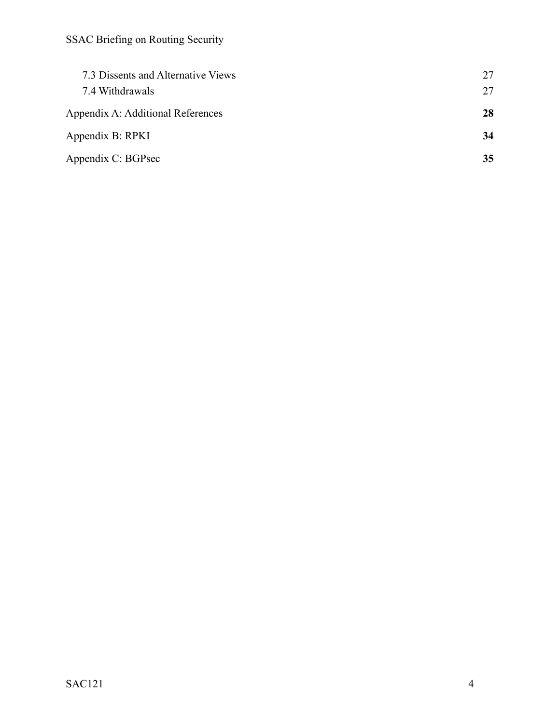| 7.3 Dissents and Alternative Views<br>7.4 Withdrawals | 27<br>27 |
|-------------------------------------------------------|----------|
| Appendix A: Additional References                     | 28       |
| Appendix B: RPKI                                      | 34       |
| Appendix C: BGPsec                                    | 35       |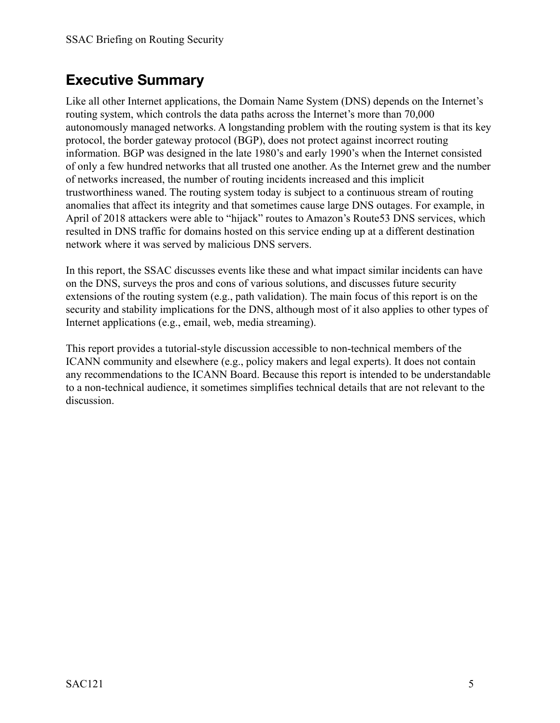## <span id="page-4-0"></span>**Executive Summary**

Like all other Internet applications, the Domain Name System (DNS) depends on the Internet's routing system, which controls the data paths across the Internet's more than 70,000 autonomously managed networks. A longstanding problem with the routing system is that its key protocol, the border gateway protocol (BGP), does not protect against incorrect routing information. BGP was designed in the late 1980's and early 1990's when the Internet consisted of only a few hundred networks that all trusted one another. As the Internet grew and the number of networks increased, the number of routing incidents increased and this implicit trustworthiness waned. The routing system today is subject to a continuous stream of routing anomalies that affect its integrity and that sometimes cause large DNS outages. For example, in April of 2018 attackers were able to "hijack" routes to Amazon's Route53 DNS services, which resulted in DNS traffic for domains hosted on this service ending up at a different destination network where it was served by malicious DNS servers.

In this report, the SSAC discusses events like these and what impact similar incidents can have on the DNS, surveys the pros and cons of various solutions, and discusses future security extensions of the routing system (e.g., path validation). The main focus of this report is on the security and stability implications for the DNS, although most of it also applies to other types of Internet applications (e.g., email, web, media streaming).

This report provides a tutorial-style discussion accessible to non-technical members of the ICANN community and elsewhere (e.g., policy makers and legal experts). It does not contain any recommendations to the ICANN Board. Because this report is intended to be understandable to a non-technical audience, it sometimes simplifies technical details that are not relevant to the discussion.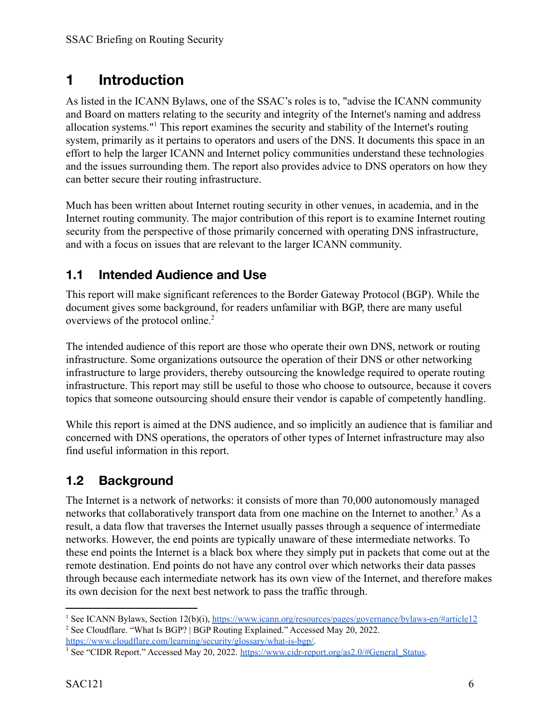## <span id="page-5-0"></span>**1 Introduction**

As listed in the ICANN Bylaws, one of the SSAC's roles is to, "advise the ICANN community and Board on matters relating to the security and integrity of the Internet's naming and address allocation systems."<sup>1</sup> This report examines the security and stability of the Internet's routing system, primarily as it pertains to operators and users of the DNS. It documents this space in an effort to help the larger ICANN and Internet policy communities understand these technologies and the issues surrounding them. The report also provides advice to DNS operators on how they can better secure their routing infrastructure.

Much has been written about Internet routing security in other venues, in academia, and in the Internet routing community. The major contribution of this report is to examine Internet routing security from the perspective of those primarily concerned with operating DNS infrastructure, and with a focus on issues that are relevant to the larger ICANN community.

### <span id="page-5-1"></span>**1.1 Intended Audience and Use**

This report will make significant references to the Border Gateway Protocol (BGP). While the document gives some background, for readers unfamiliar with BGP, there are many useful overviews of the protocol online.<sup>2</sup>

The intended audience of this report are those who operate their own DNS, network or routing infrastructure. Some organizations outsource the operation of their DNS or other networking infrastructure to large providers, thereby outsourcing the knowledge required to operate routing infrastructure. This report may still be useful to those who choose to outsource, because it covers topics that someone outsourcing should ensure their vendor is capable of competently handling.

While this report is aimed at the DNS audience, and so implicitly an audience that is familiar and concerned with DNS operations, the operators of other types of Internet infrastructure may also find useful information in this report.

### <span id="page-5-2"></span>**1.2 Background**

The Internet is a network of networks: it consists of more than 70,000 autonomously managed networks that collaboratively transport data from one machine on the Internet to another.<sup>3</sup> As a result, a data flow that traverses the Internet usually passes through a sequence of intermediate networks. However, the end points are typically unaware of these intermediate networks. To these end points the Internet is a black box where they simply put in packets that come out at the remote destination. End points do not have any control over which networks their data passes through because each intermediate network has its own view of the Internet, and therefore makes its own decision for the next best network to pass the traffic through.

<sup>&</sup>lt;sup>2</sup> See Cloudflare. "What Is BGP? | BGP Routing Explained." Accessed May 20, 2022. <sup>1</sup> See ICANN Bylaws, Section 12(b)(i), https://www.jcann.org/resources/pages/governance/bylaws-en/#article12

[https://www.cloudflare.com/learning/security/glossary/what-is-bgp/.](https://www.cloudflare.com/learning/security/glossary/what-is-bgp/)

<sup>&</sup>lt;sup>3</sup> See "CIDR Report." Accessed May 20, 2022. [https://www.cidr-report.org/as2.0/#General\\_Status.](https://www.cidr-report.org/as2.0/#General_Status)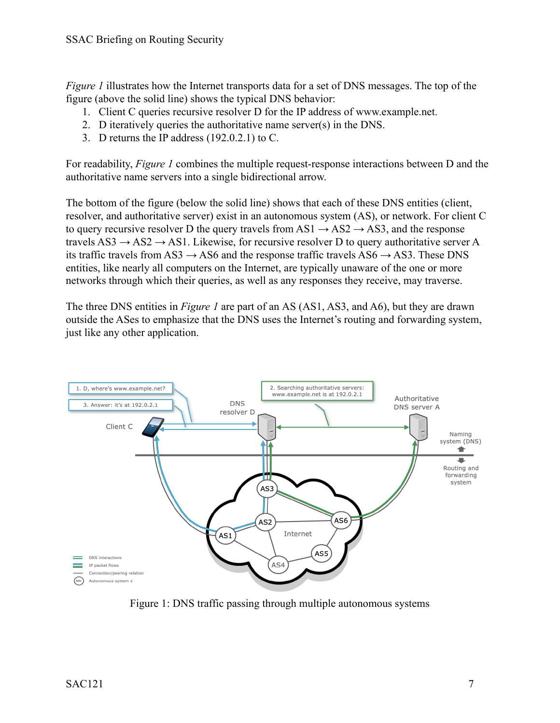*Figure 1* illustrates how the Internet transports data for a set of DNS messages. The top of the figure (above the solid line) shows the typical DNS behavior:

- 1. Client C queries recursive resolver D for the IP address of www.example.net.
- 2. D iteratively queries the authoritative name server(s) in the DNS.
- 3. D returns the IP address (192.0.2.1) to C.

For readability, *Figure 1* combines the multiple request-response interactions between D and the authoritative name servers into a single bidirectional arrow.

The bottom of the figure (below the solid line) shows that each of these DNS entities (client, resolver, and authoritative server) exist in an autonomous system (AS), or network. For client C to query recursive resolver D the query travels from  $AS1 \rightarrow AS2 \rightarrow AS3$ , and the response travels  $AS3 \rightarrow AS2 \rightarrow AS1$ . Likewise, for recursive resolver D to query authoritative server A its traffic travels from AS3  $\rightarrow$  AS6 and the response traffic travels AS6  $\rightarrow$  AS3. These DNS entities, like nearly all computers on the Internet, are typically unaware of the one or more networks through which their queries, as well as any responses they receive, may traverse.

The three DNS entities in *Figure 1* are part of an AS (AS1, AS3, and A6), but they are drawn outside the ASes to emphasize that the DNS uses the Internet's routing and forwarding system, just like any other application.



Figure 1: DNS traffic passing through multiple autonomous systems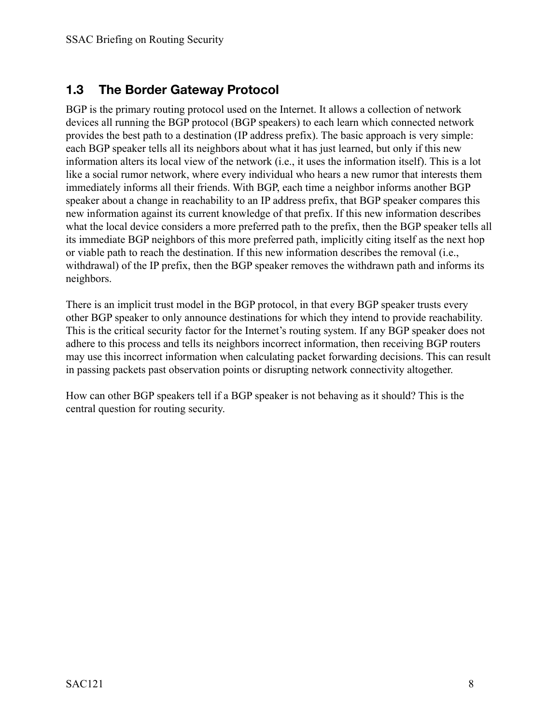### <span id="page-7-0"></span>**1.3 The Border Gateway Protocol**

BGP is the primary routing protocol used on the Internet. It allows a collection of network devices all running the BGP protocol (BGP speakers) to each learn which connected network provides the best path to a destination (IP address prefix). The basic approach is very simple: each BGP speaker tells all its neighbors about what it has just learned, but only if this new information alters its local view of the network (i.e., it uses the information itself). This is a lot like a social rumor network, where every individual who hears a new rumor that interests them immediately informs all their friends. With BGP, each time a neighbor informs another BGP speaker about a change in reachability to an IP address prefix, that BGP speaker compares this new information against its current knowledge of that prefix. If this new information describes what the local device considers a more preferred path to the prefix, then the BGP speaker tells all its immediate BGP neighbors of this more preferred path, implicitly citing itself as the next hop or viable path to reach the destination. If this new information describes the removal (i.e., withdrawal) of the IP prefix, then the BGP speaker removes the withdrawn path and informs its neighbors.

There is an implicit trust model in the BGP protocol, in that every BGP speaker trusts every other BGP speaker to only announce destinations for which they intend to provide reachability. This is the critical security factor for the Internet's routing system. If any BGP speaker does not adhere to this process and tells its neighbors incorrect information, then receiving BGP routers may use this incorrect information when calculating packet forwarding decisions. This can result in passing packets past observation points or disrupting network connectivity altogether.

How can other BGP speakers tell if a BGP speaker is not behaving as it should? This is the central question for routing security.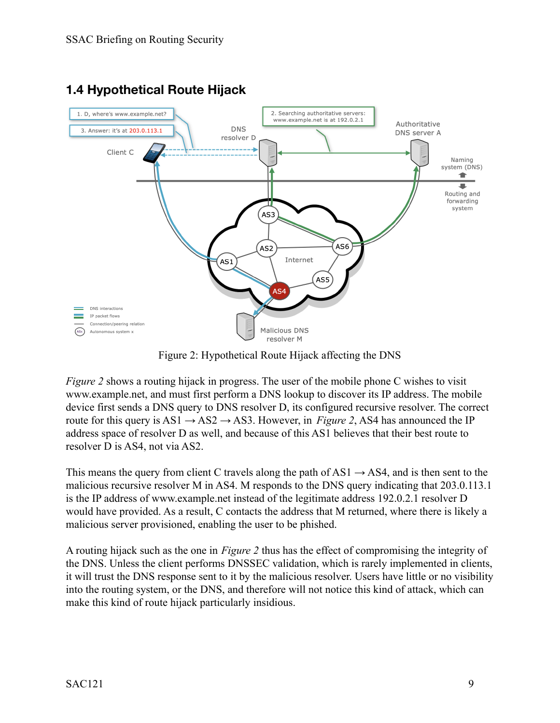

### <span id="page-8-0"></span>**1.4 Hypothetical Route Hijack**

Figure 2: Hypothetical Route Hijack affecting the DNS

*Figure 2* shows a routing hijack in progress. The user of the mobile phone C wishes to visit www.example.net, and must first perform a DNS lookup to discover its IP address. The mobile device first sends a DNS query to DNS resolver D, its configured recursive resolver. The correct route for this query is  $AS1 \rightarrow AS2 \rightarrow AS3$ . However, in *Figure 2*, AS4 has announced the IP address space of resolver D as well, and because of this AS1 believes that their best route to resolver D is AS4, not via AS2.

This means the query from client C travels along the path of AS1  $\rightarrow$  AS4, and is then sent to the malicious recursive resolver M in AS4. M responds to the DNS query indicating that 203.0.113.1 is the IP address of www.example.net instead of the legitimate address 192.0.2.1 resolver D would have provided. As a result, C contacts the address that M returned, where there is likely a malicious server provisioned, enabling the user to be phished.

A routing hijack such as the one in *Figure 2* thus has the effect of compromising the integrity of the DNS. Unless the client performs DNSSEC validation, which is rarely implemented in clients, it will trust the DNS response sent to it by the malicious resolver. Users have little or no visibility into the routing system, or the DNS, and therefore will not notice this kind of attack, which can make this kind of route hijack particularly insidious.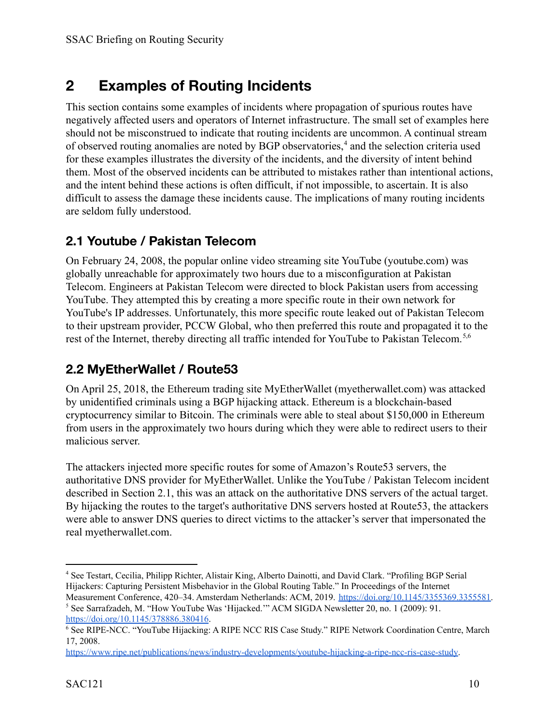## <span id="page-9-0"></span>**2 Examples of Routing Incidents**

This section contains some examples of incidents where propagation of spurious routes have negatively affected users and operators of Internet infrastructure. The small set of examples here should not be misconstrued to indicate that routing incidents are uncommon. A continual stream of observed routing anomalies are noted by BGP observatories,<sup>4</sup> and the selection criteria used for these examples illustrates the diversity of the incidents, and the diversity of intent behind them. Most of the observed incidents can be attributed to mistakes rather than intentional actions, and the intent behind these actions is often difficult, if not impossible, to ascertain. It is also difficult to assess the damage these incidents cause. The implications of many routing incidents are seldom fully understood.

### <span id="page-9-1"></span>**2.1 Youtube / Pakistan Telecom**

On February 24, 2008, the popular online video streaming site YouTube (youtube.com) was globally unreachable for approximately two hours due to a misconfiguration at Pakistan Telecom. Engineers at Pakistan Telecom were directed to block Pakistan users from accessing YouTube. They attempted this by creating a more specific route in their own network for YouTube's IP addresses. Unfortunately, this more specific route leaked out of Pakistan Telecom to their upstream provider, PCCW Global, who then preferred this route and propagated it to the rest of the Internet, thereby directing all traffic intended for YouTube to Pakistan Telecom.<sup>5,6</sup>

### <span id="page-9-2"></span>**2.2 MyEtherWallet / Route53**

On April 25, 2018, the Ethereum trading site MyEtherWallet (myetherwallet.com) was attacked by unidentified criminals using a BGP hijacking attack. Ethereum is a blockchain-based cryptocurrency similar to Bitcoin. The criminals were able to steal about \$150,000 in Ethereum from users in the approximately two hours during which they were able to redirect users to their malicious server.

The attackers injected more specific routes for some of Amazon's Route53 servers, the authoritative DNS provider for MyEtherWallet. Unlike the YouTube / Pakistan Telecom incident described in Section 2.1, this was an attack on the authoritative DNS servers of the actual target. By hijacking the routes to the target's authoritative DNS servers hosted at Route53, the attackers were able to answer DNS queries to direct victims to the attacker's server that impersonated the real myetherwallet.com.

<sup>4</sup> See Testart, Cecilia, Philipp Richter, Alistair King, Alberto Dainotti, and David Clark. "Profiling BGP Serial Hijackers: Capturing Persistent Misbehavior in the Global Routing Table." In Proceedings of the Internet

<sup>5</sup> See Sarrafzadeh, M. "How YouTube Was 'Hijacked.'" ACM SIGDA Newsletter 20, no. 1 (2009): 91. Measurement Conference, 420–34. Amsterdam Netherlands: ACM, 2019. [https://doi.org/10.1145/3355369.3355581.](https://doi.org/10.1145/3355369.3355581)

<https://doi.org/10.1145/378886.380416>.

<sup>6</sup> See RIPE-NCC. "YouTube Hijacking: A RIPE NCC RIS Case Study." RIPE Network Coordination Centre, March 17, 2008.

<https://www.ripe.net/publications/news/industry-developments/youtube-hijacking-a-ripe-ncc-ris-case-study>.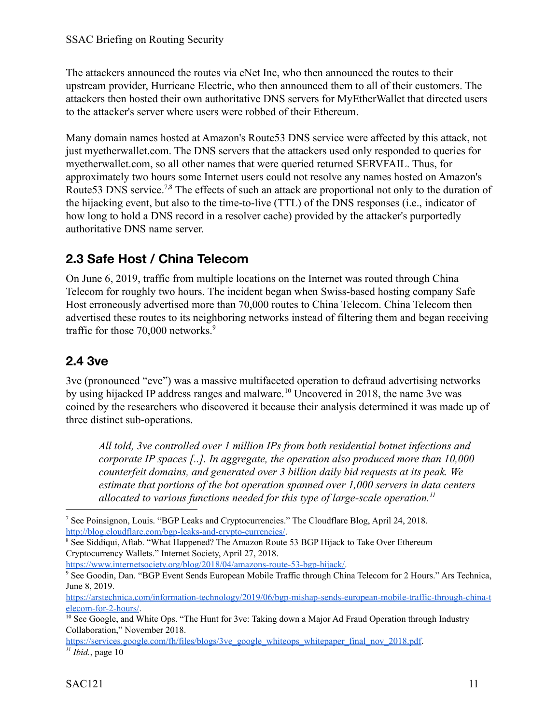The attackers announced the routes via eNet Inc, who then announced the routes to their upstream provider, Hurricane Electric, who then announced them to all of their customers. The attackers then hosted their own authoritative DNS servers for MyEtherWallet that directed users to the attacker's server where users were robbed of their Ethereum.

Many domain names hosted at Amazon's Route53 DNS service were affected by this attack, not just myetherwallet.com. The DNS servers that the attackers used only responded to queries for myetherwallet.com, so all other names that were queried returned SERVFAIL. Thus, for approximately two hours some Internet users could not resolve any names hosted on Amazon's Route53 DNS service.<sup>7,8</sup> The effects of such an attack are proportional not only to the duration of the hijacking event, but also to the time-to-live (TTL) of the DNS responses (i.e., indicator of how long to hold a DNS record in a resolver cache) provided by the attacker's purportedly authoritative DNS name server.

### <span id="page-10-0"></span>**2.3 Safe Host / China Telecom**

On June 6, 2019, traffic from multiple locations on the Internet was routed through China Telecom for roughly two hours. The incident began when Swiss-based hosting company Safe Host erroneously advertised more than 70,000 routes to China Telecom. China Telecom then advertised these routes to its neighboring networks instead of filtering them and began receiving traffic for those 70,000 networks.<sup>9</sup>

### <span id="page-10-1"></span>**2.4 3ve**

3ve (pronounced "eve") was a massive multifaceted operation to defraud advertising networks by using hijacked IP address ranges and malware.<sup>10</sup> Uncovered in 2018, the name 3ve was coined by the researchers who discovered it because their analysis determined it was made up of three distinct sub-operations.

*All told, 3ve controlled over 1 million IPs from both residential botnet infections and corporate IP spaces [..]. In aggregate, the operation also produced more than 10,000 counterfeit domains, and generated over 3 billion daily bid requests at its peak. We estimate that portions of the bot operation spanned over 1,000 servers in data centers allocated to various functions needed for this type of large-scale operation.<sup>11</sup>*

<https://www.internetsociety.org/blog/2018/04/amazons-route-53-bgp-hijack/>.

*11 Ibid.*, page 10 [https://services.google.com/fh/files/blogs/3ve\\_google\\_whiteops\\_whitepaper\\_final\\_nov\\_2018.pdf.](https://services.google.com/fh/files/blogs/3ve_google_whiteops_whitepaper_final_nov_2018.pdf)

<sup>7</sup> See Poinsignon, Louis. "BGP Leaks and Cryptocurrencies." The Cloudflare Blog, April 24, 2018. [http://blog.cloudflare.com/bgp-leaks-and-crypto-currencies/.](http://blog.cloudflare.com/bgp-leaks-and-crypto-currencies/)

<sup>&</sup>lt;sup>8</sup> See Siddiqui, Aftab. "What Happened? The Amazon Route 53 BGP Hijack to Take Over Ethereum Cryptocurrency Wallets." Internet Society, April 27, 2018.

<sup>9</sup> See Goodin, Dan. "BGP Event Sends European Mobile Traffic through China Telecom for 2 Hours." Ars Technica, June 8, 2019.

[https://arstechnica.com/information-technology/2019/06/bgp-mishap-sends-european-mobile-traffic-through-china-t](https://arstechnica.com/information-technology/2019/06/bgp-mishap-sends-european-mobile-traffic-through-china-telecom-for-2-hours/) [elecom-for-2-hours/](https://arstechnica.com/information-technology/2019/06/bgp-mishap-sends-european-mobile-traffic-through-china-telecom-for-2-hours/).

<sup>&</sup>lt;sup>10</sup> See Google, and White Ops. "The Hunt for 3ve: Taking down a Major Ad Fraud Operation through Industry Collaboration," November 2018.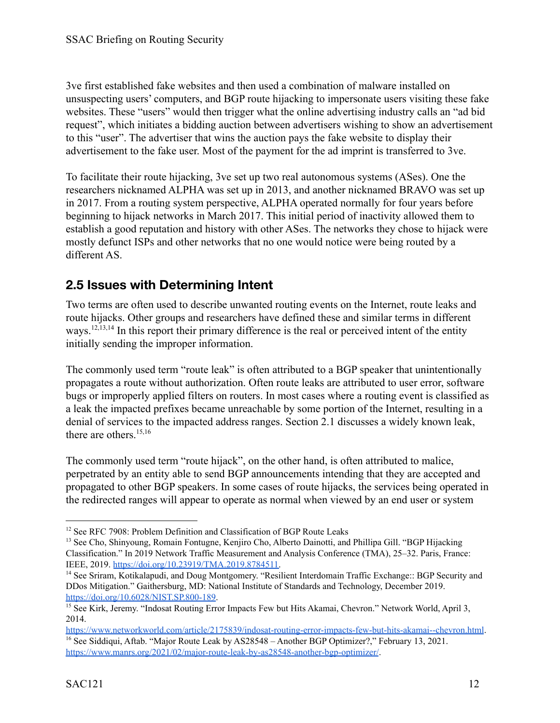3ve first established fake websites and then used a combination of malware installed on unsuspecting users' computers, and BGP route hijacking to impersonate users visiting these fake websites. These "users" would then trigger what the online advertising industry calls an "ad bid request", which initiates a bidding auction between advertisers wishing to show an advertisement to this "user". The advertiser that wins the auction pays the fake website to display their advertisement to the fake user. Most of the payment for the ad imprint is transferred to 3ve.

To facilitate their route hijacking, 3ve set up two real autonomous systems (ASes). One the researchers nicknamed ALPHA was set up in 2013, and another nicknamed BRAVO was set up in 2017. From a routing system perspective, ALPHA operated normally for four years before beginning to hijack networks in March 2017. This initial period of inactivity allowed them to establish a good reputation and history with other ASes. The networks they chose to hijack were mostly defunct ISPs and other networks that no one would notice were being routed by a different AS.

### <span id="page-11-0"></span>**2.5 Issues with Determining Intent**

Two terms are often used to describe unwanted routing events on the Internet, route leaks and route hijacks. Other groups and researchers have defined these and similar terms in different ways.<sup>12,13,14</sup> In this report their primary difference is the real or perceived intent of the entity initially sending the improper information.

The commonly used term "route leak" is often attributed to a BGP speaker that unintentionally propagates a route without authorization. Often route leaks are attributed to user error, software bugs or improperly applied filters on routers. In most cases where a routing event is classified as a leak the impacted prefixes became unreachable by some portion of the Internet, resulting in a denial of services to the impacted address ranges. Section 2.1 discusses a widely known leak, there are others.<sup>15,16</sup>

The commonly used term "route hijack", on the other hand, is often attributed to malice, perpetrated by an entity able to send BGP announcements intending that they are accepted and propagated to other BGP speakers. In some cases of route hijacks, the services being operated in the redirected ranges will appear to operate as normal when viewed by an end user or system

<sup>&</sup>lt;sup>12</sup> See RFC 7908: Problem Definition and Classification of BGP Route Leaks

<sup>&</sup>lt;sup>13</sup> See Cho, Shinyoung, Romain Fontugne, Kenjiro Cho, Alberto Dainotti, and Phillipa Gill. "BGP Hijacking Classification." In 2019 Network Traffic Measurement and Analysis Conference (TMA), 25–32. Paris, France: IEEE, 2019. [https://doi.org/10.23919/TMA.2019.8784511.](https://doi.org/10.23919/TMA.2019.8784511)

<sup>14</sup> See Sriram, Kotikalapudi, and Doug Montgomery. "Resilient Interdomain Traffic Exchange:: BGP Security and DDos Mitigation." Gaithersburg, MD: National Institute of Standards and Technology, December 2019. <https://doi.org/10.6028/NIST.SP.800-189>.

<sup>&</sup>lt;sup>15</sup> See Kirk, Jeremy. "Indosat Routing Error Impacts Few but Hits Akamai, Chevron." Network World, April 3, 2014[.](https://www.networkworld.com/article/2175839/indosat-routing-error-impacts-few-but-hits-akamai--chevron.html)

<sup>&</sup>lt;sup>16</sup> See Siddiqui, Aftab. "Major Route Leak by AS28548 – Another BGP Optimizer?," February 13, 2021. <https://www.manrs.org/2021/02/major-route-leak-by-as28548-another-bgp-optimizer/>. <https://www.networkworld.com/article/2175839/indosat-routing-error-impacts-few-but-hits-akamai--chevron.html>.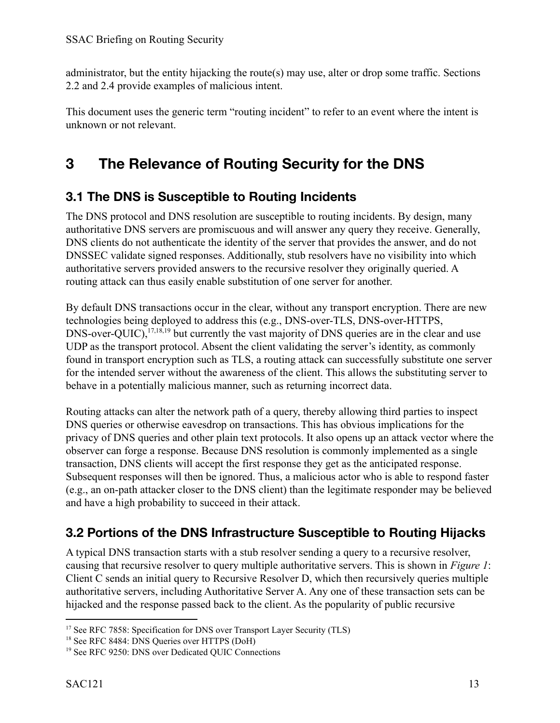administrator, but the entity hijacking the route(s) may use, alter or drop some traffic. Sections 2.2 and 2.4 provide examples of malicious intent.

This document uses the generic term "routing incident" to refer to an event where the intent is unknown or not relevant.

## <span id="page-12-0"></span>**3 The Relevance of Routing Security for the DNS**

### <span id="page-12-1"></span>**3.1 The DNS is Susceptible to Routing Incidents**

The DNS protocol and DNS resolution are susceptible to routing incidents. By design, many authoritative DNS servers are promiscuous and will answer any query they receive. Generally, DNS clients do not authenticate the identity of the server that provides the answer, and do not DNSSEC validate signed responses. Additionally, stub resolvers have no visibility into which authoritative servers provided answers to the recursive resolver they originally queried. A routing attack can thus easily enable substitution of one server for another.

By default DNS transactions occur in the clear, without any transport encryption. There are new technologies being deployed to address this (e.g., DNS-over-TLS, DNS-over-HTTPS,  $DNS-over-OUIC)$ ,  $^{17,18,19}$  but currently the vast majority of DNS queries are in the clear and use UDP as the transport protocol. Absent the client validating the server's identity, as commonly found in transport encryption such as TLS, a routing attack can successfully substitute one server for the intended server without the awareness of the client. This allows the substituting server to behave in a potentially malicious manner, such as returning incorrect data.

Routing attacks can alter the network path of a query, thereby allowing third parties to inspect DNS queries or otherwise eavesdrop on transactions. This has obvious implications for the privacy of DNS queries and other plain text protocols. It also opens up an attack vector where the observer can forge a response. Because DNS resolution is commonly implemented as a single transaction, DNS clients will accept the first response they get as the anticipated response. Subsequent responses will then be ignored. Thus, a malicious actor who is able to respond faster (e.g., an on-path attacker closer to the DNS client) than the legitimate responder may be believed and have a high probability to succeed in their attack.

### <span id="page-12-2"></span>**3.2 Portions of the DNS Infrastructure Susceptible to Routing Hijacks**

A typical DNS transaction starts with a stub resolver sending a query to a recursive resolver, causing that recursive resolver to query multiple authoritative servers. This is shown in *Figure 1*: Client C sends an initial query to Recursive Resolver D, which then recursively queries multiple authoritative servers, including Authoritative Server A. Any one of these transaction sets can be hijacked and the response passed back to the client. As the popularity of public recursive

<sup>&</sup>lt;sup>17</sup> See RFC 7858: Specification for DNS over Transport Layer Security (TLS)

<sup>&</sup>lt;sup>18</sup> See RFC 8484: DNS Queries over HTTPS (DoH)

<sup>19</sup> See RFC 9250: DNS over Dedicated QUIC Connections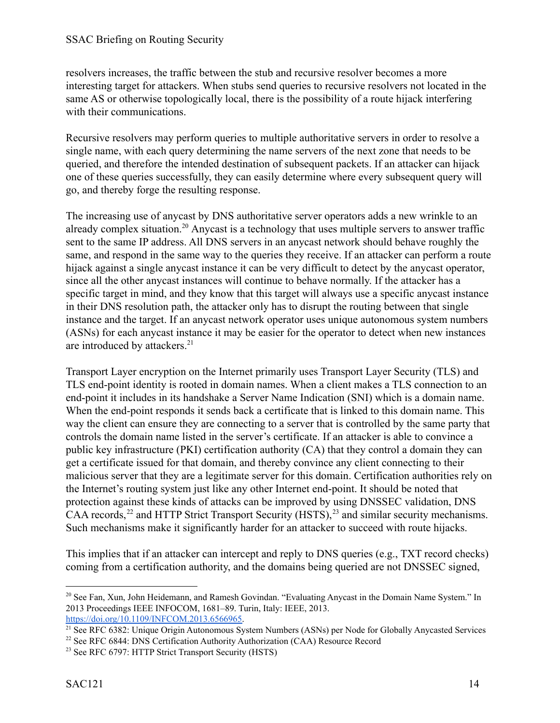resolvers increases, the traffic between the stub and recursive resolver becomes a more interesting target for attackers. When stubs send queries to recursive resolvers not located in the same AS or otherwise topologically local, there is the possibility of a route hijack interfering with their communications.

Recursive resolvers may perform queries to multiple authoritative servers in order to resolve a single name, with each query determining the name servers of the next zone that needs to be queried, and therefore the intended destination of subsequent packets. If an attacker can hijack one of these queries successfully, they can easily determine where every subsequent query will go, and thereby forge the resulting response.

The increasing use of anycast by DNS authoritative server operators adds a new wrinkle to an already complex situation.<sup>20</sup> Anycast is a technology that uses multiple servers to answer traffic sent to the same IP address. All DNS servers in an anycast network should behave roughly the same, and respond in the same way to the queries they receive. If an attacker can perform a route hijack against a single anycast instance it can be very difficult to detect by the anycast operator, since all the other anycast instances will continue to behave normally. If the attacker has a specific target in mind, and they know that this target will always use a specific anycast instance in their DNS resolution path, the attacker only has to disrupt the routing between that single instance and the target. If an anycast network operator uses unique autonomous system numbers (ASNs) for each anycast instance it may be easier for the operator to detect when new instances are introduced by attackers.<sup>21</sup>

Transport Layer encryption on the Internet primarily uses Transport Layer Security (TLS) and TLS end-point identity is rooted in domain names. When a client makes a TLS connection to an end-point it includes in its handshake a Server Name Indication (SNI) which is a domain name. When the end-point responds it sends back a certificate that is linked to this domain name. This way the client can ensure they are connecting to a server that is controlled by the same party that controls the domain name listed in the server's certificate. If an attacker is able to convince a public key infrastructure (PKI) certification authority (CA) that they control a domain they can get a certificate issued for that domain, and thereby convince any client connecting to their malicious server that they are a legitimate server for this domain. Certification authorities rely on the Internet's routing system just like any other Internet end-point. It should be noted that protection against these kinds of attacks can be improved by using DNSSEC validation, DNS CAA records,  $^{22}$  and HTTP Strict Transport Security (HSTS),  $^{23}$  and similar security mechanisms. Such mechanisms make it significantly harder for an attacker to succeed with route hijacks.

This implies that if an attacker can intercept and reply to DNS queries (e.g., TXT record checks) coming from a certification authority, and the domains being queried are not DNSSEC signed,

<sup>&</sup>lt;sup>20</sup> See Fan, Xun, John Heidemann, and Ramesh Govindan. "Evaluating Anycast in the Domain Name System." In 2013 Proceedings IEEE INFOCOM, 1681–89. Turin, Italy: IEEE, 2013. [https://doi.org/10.1109/INFCOM.2013.6566965.](https://doi.org/10.1109/INFCOM.2013.6566965)

<sup>&</sup>lt;sup>21</sup> See RFC 6382: Unique Origin Autonomous System Numbers (ASNs) per Node for Globally Anycasted Services

<sup>&</sup>lt;sup>22</sup> See RFC 6844: DNS Certification Authority Authorization (CAA) Resource Record

<sup>&</sup>lt;sup>23</sup> See RFC 6797: HTTP Strict Transport Security (HSTS)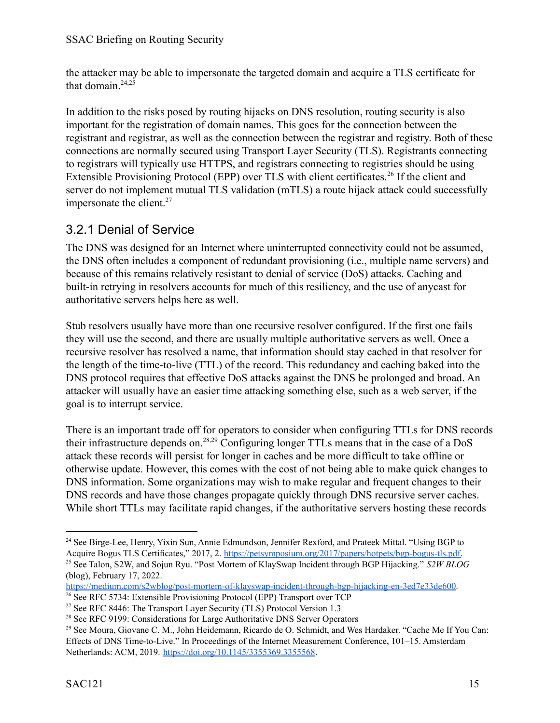the attacker may be able to impersonate the targeted domain and acquire a TLS certificate for that domain.<sup>24,25</sup>

In addition to the risks posed by routing hijacks on DNS resolution, routing security is also important for the registration of domain names. This goes for the connection between the registrant and registrar, as well as the connection between the registrar and registry. Both of these connections are normally secured using Transport Layer Security (TLS). Registrants connecting to registrars will typically use HTTPS, and registrars connecting to registries should be using Extensible Provisioning Protocol (EPP) over TLS with client certificates.<sup>26</sup> If the client and server do not implement mutual TLS validation (mTLS) a route hijack attack could successfully impersonate the client. $27$ 

### <span id="page-14-0"></span>3.2.1 Denial of Service

The DNS was designed for an Internet where uninterrupted connectivity could not be assumed, the DNS often includes a component of redundant provisioning (i.e., multiple name servers) and because of this remains relatively resistant to denial of service (DoS) attacks. Caching and built-in retrying in resolvers accounts for much of this resiliency, and the use of anycast for authoritative servers helps here as well.

Stub resolvers usually have more than one recursive resolver configured. If the first one fails they will use the second, and there are usually multiple authoritative servers as well. Once a recursive resolver has resolved a name, that information should stay cached in that resolver for the length of the time-to-live (TTL) of the record. This redundancy and caching baked into the DNS protocol requires that effective DoS attacks against the DNS be prolonged and broad. An attacker will usually have an easier time attacking something else, such as a web server, if the goal is to interrupt service.

There is an important trade off for operators to consider when configuring TTLs for DNS records their infrastructure depends on.<sup>28,29</sup> Configuring longer TTLs means that in the case of a DoS attack these records will persist for longer in caches and be more difficult to take offline or otherwise update. However, this comes with the cost of not being able to make quick changes to DNS information. Some organizations may wish to make regular and frequent changes to their DNS records and have those changes propagate quickly through DNS recursive server caches. While short TTLs may facilitate rapid changes, if the authoritative servers hosting these records

<sup>25</sup> See Talon, S2W, and Sojun Ryu. "Post Mortem of KlaySwap Incident through BGP Hijacking." *S2W BLOG* (blog), February 17, 2022[.](https://medium.com/s2wblog/post-mortem-of-klayswap-incident-through-bgp-hijacking-en-3ed7e33de600) <sup>24</sup> See Birge-Lee, Henry, Yixin Sun, Annie Edmundson, Jennifer Rexford, and Prateek Mittal. "Using BGP to Acquire Bogus TLS Certificates," 2017, 2. [https://petsymposium.org/2017/papers/hotpets/bgp-bogus-tls.pdf.](https://petsymposium.org/2017/papers/hotpets/bgp-bogus-tls.pdf)

<sup>26</sup> See RFC 5734: Extensible Provisioning Protocol (EPP) Transport over TCP [https://medium.com/s2wblog/post-mortem-of-klayswap-incident-through-bgp-hijacking-en-3ed7e33de600.](https://medium.com/s2wblog/post-mortem-of-klayswap-incident-through-bgp-hijacking-en-3ed7e33de600)

<sup>&</sup>lt;sup>27</sup> See RFC 8446: The Transport Layer Security (TLS) Protocol Version 1.3

<sup>&</sup>lt;sup>28</sup> See RFC 9199: Considerations for Large Authoritative DNS Server Operators

<sup>&</sup>lt;sup>29</sup> See Moura, Giovane C. M., John Heidemann, Ricardo de O. Schmidt, and Wes Hardaker. "Cache Me If You Can: Effects of DNS Time-to-Live." In Proceedings of the Internet Measurement Conference, 101–15. Amsterdam Netherlands: ACM, 2019. [https://doi.org/10.1145/3355369.3355568.](https://doi.org/10.1145/3355369.3355568)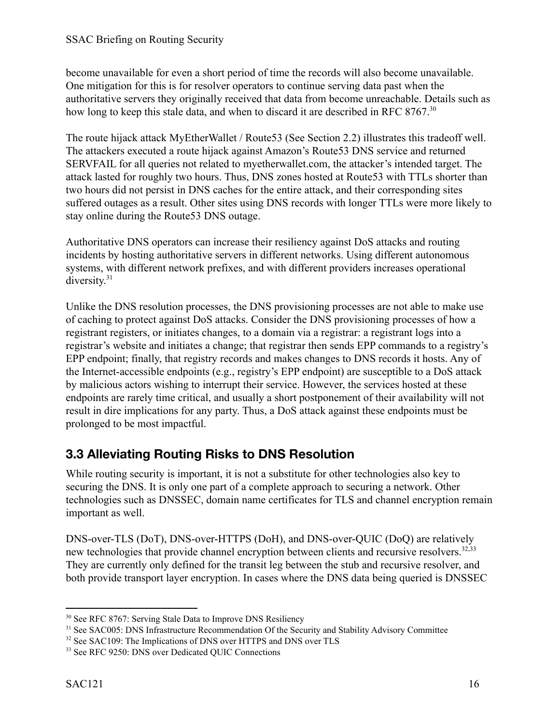become unavailable for even a short period of time the records will also become unavailable. One mitigation for this is for resolver operators to continue serving data past when the authoritative servers they originally received that data from become unreachable. Details such as how long to keep this stale data, and when to discard it are described in RFC 8767.<sup>30</sup>

The route hijack attack MyEtherWallet / Route53 (See Section 2.2) illustrates this tradeoff well. The attackers executed a route hijack against Amazon's Route53 DNS service and returned SERVFAIL for all queries not related to myetherwallet.com, the attacker's intended target. The attack lasted for roughly two hours. Thus, DNS zones hosted at Route53 with TTLs shorter than two hours did not persist in DNS caches for the entire attack, and their corresponding sites suffered outages as a result. Other sites using DNS records with longer TTLs were more likely to stay online during the Route53 DNS outage.

Authoritative DNS operators can increase their resiliency against DoS attacks and routing incidents by hosting authoritative servers in different networks. Using different autonomous systems, with different network prefixes, and with different providers increases operational diversity.<sup>31</sup>

Unlike the DNS resolution processes, the DNS provisioning processes are not able to make use of caching to protect against DoS attacks. Consider the DNS provisioning processes of how a registrant registers, or initiates changes, to a domain via a registrar: a registrant logs into a registrar's website and initiates a change; that registrar then sends EPP commands to a registry's EPP endpoint; finally, that registry records and makes changes to DNS records it hosts. Any of the Internet-accessible endpoints (e.g., registry's EPP endpoint) are susceptible to a DoS attack by malicious actors wishing to interrupt their service. However, the services hosted at these endpoints are rarely time critical, and usually a short postponement of their availability will not result in dire implications for any party. Thus, a DoS attack against these endpoints must be prolonged to be most impactful.

### <span id="page-15-0"></span>**3.3 Alleviating Routing Risks to DNS Resolution**

While routing security is important, it is not a substitute for other technologies also key to securing the DNS. It is only one part of a complete approach to securing a network. Other technologies such as DNSSEC, domain name certificates for TLS and channel encryption remain important as well.

DNS-over-TLS (DoT), DNS-over-HTTPS (DoH), and DNS-over-QUIC (DoQ) are relatively new technologies that provide channel encryption between clients and recursive resolvers.<sup>32,33</sup> They are currently only defined for the transit leg between the stub and recursive resolver, and both provide transport layer encryption. In cases where the DNS data being queried is DNSSEC

<sup>&</sup>lt;sup>30</sup> See RFC 8767: Serving Stale Data to Improve DNS Resiliency

<sup>&</sup>lt;sup>31</sup> See SAC005: DNS Infrastructure Recommendation Of the Security and Stability Advisory Committee

<sup>&</sup>lt;sup>32</sup> See SAC109: The Implications of DNS over HTTPS and DNS over TLS

<sup>&</sup>lt;sup>33</sup> See RFC 9250: DNS over Dedicated QUIC Connections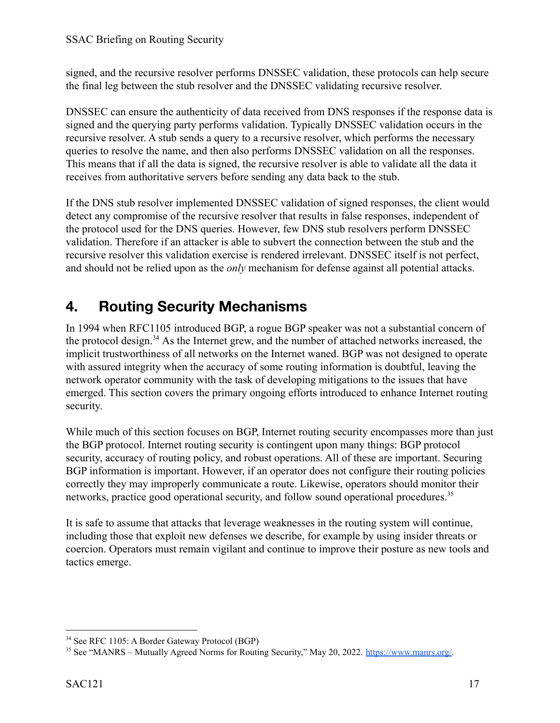signed, and the recursive resolver performs DNSSEC validation, these protocols can help secure the final leg between the stub resolver and the DNSSEC validating recursive resolver.

DNSSEC can ensure the authenticity of data received from DNS responses if the response data is signed and the querying party performs validation. Typically DNSSEC validation occurs in the recursive resolver. A stub sends a query to a recursive resolver, which performs the necessary queries to resolve the name, and then also performs DNSSEC validation on all the responses. This means that if all the data is signed, the recursive resolver is able to validate all the data it receives from authoritative servers before sending any data back to the stub.

If the DNS stub resolver implemented DNSSEC validation of signed responses, the client would detect any compromise of the recursive resolver that results in false responses, independent of the protocol used for the DNS queries. However, few DNS stub resolvers perform DNSSEC validation. Therefore if an attacker is able to subvert the connection between the stub and the recursive resolver this validation exercise is rendered irrelevant. DNSSEC itself is not perfect, and should not be relied upon as the *only* mechanism for defense against all potential attacks.

## <span id="page-16-0"></span>**4. Routing Security Mechanisms**

In 1994 when RFC1105 introduced BGP, a rogue BGP speaker was not a substantial concern of the protocol design.<sup>34</sup> As the Internet grew, and the number of attached networks increased, the implicit trustworthiness of all networks on the Internet waned. BGP was not designed to operate with assured integrity when the accuracy of some routing information is doubtful, leaving the network operator community with the task of developing mitigations to the issues that have emerged. This section covers the primary ongoing efforts introduced to enhance Internet routing security.

While much of this section focuses on BGP, Internet routing security encompasses more than just the BGP protocol. Internet routing security is contingent upon many things: BGP protocol security, accuracy of routing policy, and robust operations. All of these are important. Securing BGP information is important. However, if an operator does not configure their routing policies correctly they may improperly communicate a route. Likewise, operators should monitor their networks, practice good operational security, and follow sound operational procedures.<sup>35</sup>

It is safe to assume that attacks that leverage weaknesses in the routing system will continue, including those that exploit new defenses we describe, for example by using insider threats or coercion. Operators must remain vigilant and continue to improve their posture as new tools and tactics emerge.

<sup>34</sup> See RFC 1105: A Border Gateway Protocol (BGP)

<sup>&</sup>lt;sup>35</sup> See "MANRS – Mutually Agreed Norms for Routing Security," May 20, 2022. <https://www.manrs.org/>.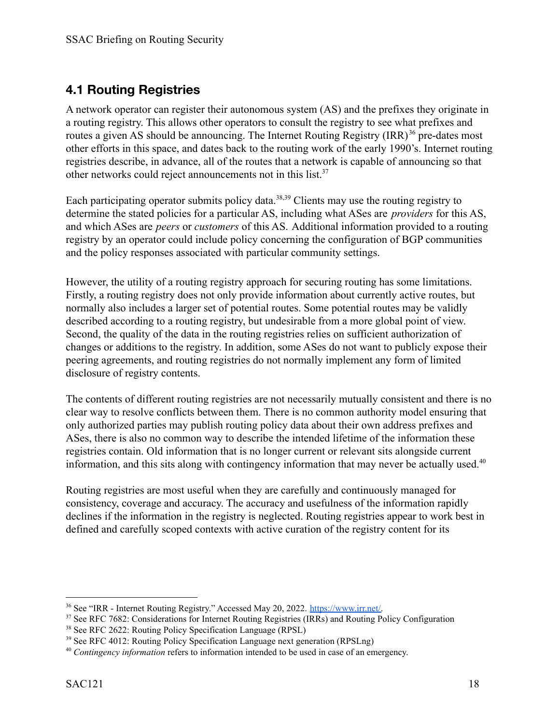### <span id="page-17-0"></span>**4.1 Routing Registries**

A network operator can register their autonomous system (AS) and the prefixes they originate in a routing registry. This allows other operators to consult the registry to see what prefixes and routes a given AS should be announcing. The Internet Routing Registry  $\text{(IRR)}^{36}$  pre-dates most other efforts in this space, and dates back to the routing work of the early 1990's. Internet routing registries describe, in advance, all of the routes that a network is capable of announcing so that other networks could reject announcements not in this list.<sup>37</sup>

Each participating operator submits policy data.<sup>38,39</sup> Clients may use the routing registry to determine the stated policies for a particular AS, including what ASes are *providers* for this AS, and which ASes are *peers* or *customers* of this AS. Additional information provided to a routing registry by an operator could include policy concerning the configuration of BGP communities and the policy responses associated with particular community settings.

However, the utility of a routing registry approach for securing routing has some limitations. Firstly, a routing registry does not only provide information about currently active routes, but normally also includes a larger set of potential routes. Some potential routes may be validly described according to a routing registry, but undesirable from a more global point of view. Second, the quality of the data in the routing registries relies on sufficient authorization of changes or additions to the registry. In addition, some ASes do not want to publicly expose their peering agreements, and routing registries do not normally implement any form of limited disclosure of registry contents.

The contents of different routing registries are not necessarily mutually consistent and there is no clear way to resolve conflicts between them. There is no common authority model ensuring that only authorized parties may publish routing policy data about their own address prefixes and ASes, there is also no common way to describe the intended lifetime of the information these registries contain. Old information that is no longer current or relevant sits alongside current information, and this sits along with contingency information that may never be actually used. $40$ 

Routing registries are most useful when they are carefully and continuously managed for consistency, coverage and accuracy. The accuracy and usefulness of the information rapidly declines if the information in the registry is neglected. Routing registries appear to work best in defined and carefully scoped contexts with active curation of the registry content for its

<sup>36</sup> See "IRR - Internet Routing Registry." Accessed May 20, 2022. [https://www.irr.net/.](https://www.irr.net/)

<sup>&</sup>lt;sup>37</sup> See RFC 7682: Considerations for Internet Routing Registries (IRRs) and Routing Policy Configuration

<sup>38</sup> See RFC 2622: Routing Policy Specification Language (RPSL)

<sup>&</sup>lt;sup>39</sup> See RFC 4012: Routing Policy Specification Language next generation (RPSLng)

<sup>40</sup> *Contingency information* refers to information intended to be used in case of an emergency.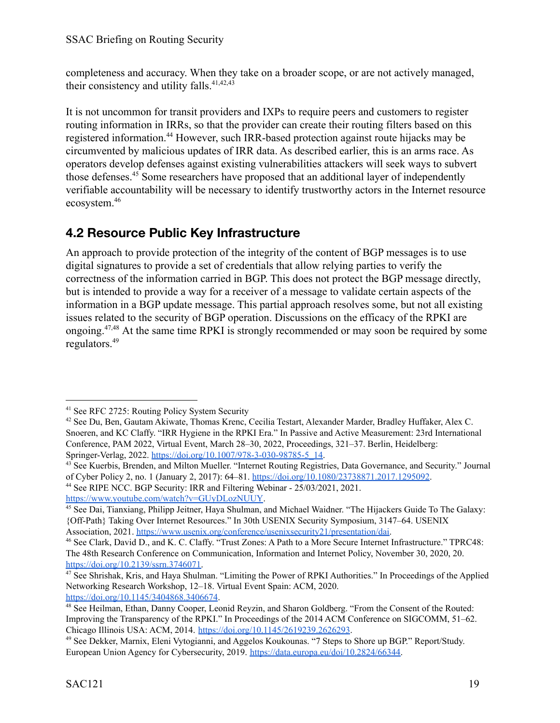completeness and accuracy. When they take on a broader scope, or are not actively managed, their consistency and utility falls.<sup>41,42,43</sup>

It is not uncommon for transit providers and IXPs to require peers and customers to register routing information in IRRs, so that the provider can create their routing filters based on this registered information.<sup>44</sup> However, such IRR-based protection against route hijacks may be circumvented by malicious updates of IRR data. As described earlier, this is an arms race. As operators develop defenses against existing vulnerabilities attackers will seek ways to subvert those defenses.<sup>45</sup> Some researchers have proposed that an additional layer of independently verifiable accountability will be necessary to identify trustworthy actors in the Internet resource ecosystem.<sup>46</sup>

### <span id="page-18-0"></span>**4.2 Resource Public Key Infrastructure**

An approach to provide protection of the integrity of the content of BGP messages is to use digital signatures to provide a set of credentials that allow relying parties to verify the correctness of the information carried in BGP. This does not protect the BGP message directly, but is intended to provide a way for a receiver of a message to validate certain aspects of the information in a BGP update message. This partial approach resolves some, but not all existing issues related to the security of BGP operation. Discussions on the efficacy of the RPKI are ongoing.  $47,48$  At the same time RPKI is strongly recommended or may soon be required by some regulators.<sup>49</sup>

<sup>44</sup> See RIPE NCC. BGP Security: IRR and Filtering Webinar - 25/03/2021, 2021. [https://www.youtube.com/watch?v=GUyDLozNUUY.](https://www.youtube.com/watch?v=GUyDLozNUUY)

<sup>41</sup> See RFC 2725: Routing Policy System Security

<sup>42</sup> See Du, Ben, Gautam Akiwate, Thomas Krenc, Cecilia Testart, Alexander Marder, Bradley Huffaker, Alex C. Snoeren, and KC Claffy. "IRR Hygiene in the RPKI Era." In Passive and Active Measurement: 23rd International Conference, PAM 2022, Virtual Event, March 28–30, 2022, Proceedings, 321–37. Berlin, Heidelberg: Springer-Verlag, 2022. [https://doi.org/10.1007/978-3-030-98785-5\\_14](https://doi.org/10.1007/978-3-030-98785-5_14).

<sup>&</sup>lt;sup>43</sup> See Kuerbis, Brenden, and Milton Mueller. "Internet Routing Registries, Data Governance, and Security." Journal of Cyber Policy 2, no. 1 (January 2, 2017): 64–81. [https://doi.org/10.1080/23738871.2017.1295092.](https://doi.org/10.1080/23738871.2017.1295092)

<sup>45</sup> See Dai, Tianxiang, Philipp Jeitner, Haya Shulman, and Michael Waidner. "The Hijackers Guide To The Galaxy: {Off-Path} Taking Over Internet Resources." In 30th USENIX Security Symposium, 3147–64. USENIX Association, 2021. [https://www.usenix.org/conference/usenixsecurity21/presentation/dai.](https://www.usenix.org/conference/usenixsecurity21/presentation/dai)

<sup>46</sup> See Clark, David D., and K. C. Claffy. "Trust Zones: A Path to a More Secure Internet Infrastructure." TPRC48: The 48th Research Conference on Communication, Information and Internet Policy, November 30, 2020, 20. [https://doi.org/10.2139/ssrn.3746071.](https://doi.org/10.2139/ssrn.3746071)

<sup>47</sup> See Shrishak, Kris, and Haya Shulman. "Limiting the Power of RPKI Authorities." In Proceedings of the Applied Networking Research Workshop, 12–18. Virtual Event Spain: ACM, 2020. <https://doi.org/10.1145/3404868.3406674>.

<sup>48</sup> See Heilman, Ethan, Danny Cooper, Leonid Reyzin, and Sharon Goldberg. "From the Consent of the Routed: Improving the Transparency of the RPKI." In Proceedings of the 2014 ACM Conference on SIGCOMM, 51–62. Chicago Illinois USA: ACM, 2014. <https://doi.org/10.1145/2619239.2626293>.

<sup>49</sup> See Dekker, Marnix, Eleni Vytogianni, and Aggelos Koukounas. "7 Steps to Shore up BGP." Report/Study. European Union Agency for Cybersecurity, 2019. <https://data.europa.eu/doi/10.2824/66344>.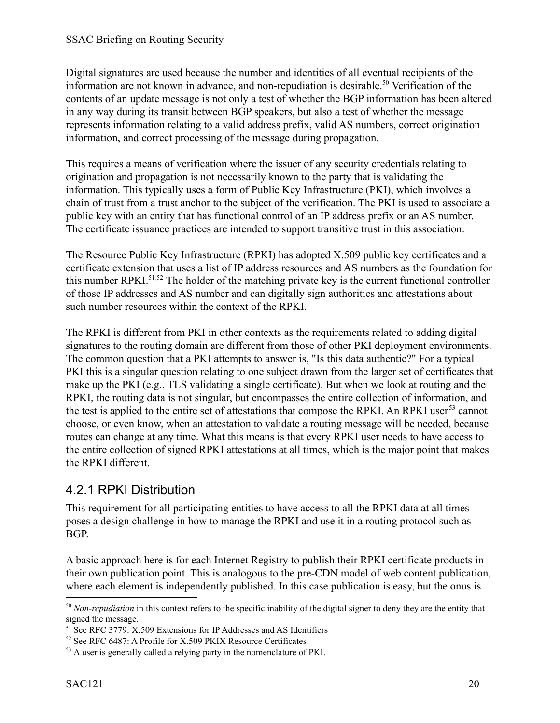Digital signatures are used because the number and identities of all eventual recipients of the information are not known in advance, and non-repudiation is desirable.<sup>50</sup> Verification of the contents of an update message is not only a test of whether the BGP information has been altered in any way during its transit between BGP speakers, but also a test of whether the message represents information relating to a valid address prefix, valid AS numbers, correct origination information, and correct processing of the message during propagation.

This requires a means of verification where the issuer of any security credentials relating to origination and propagation is not necessarily known to the party that is validating the information. This typically uses a form of Public Key Infrastructure (PKI), which involves a chain of trust from a trust anchor to the subject of the verification. The PKI is used to associate a public key with an entity that has functional control of an IP address prefix or an AS number. The certificate issuance practices are intended to support transitive trust in this association.

The Resource Public Key Infrastructure (RPKI) has adopted X.509 public key certificates and a certificate extension that uses a list of IP address resources and AS numbers as the foundation for this number RPKI.<sup>51,52</sup> The holder of the matching private key is the current functional controller of those IP addresses and AS number and can digitally sign authorities and attestations about such number resources within the context of the RPKI.

The RPKI is different from PKI in other contexts as the requirements related to adding digital signatures to the routing domain are different from those of other PKI deployment environments. The common question that a PKI attempts to answer is, "Is this data authentic?" For a typical PKI this is a singular question relating to one subject drawn from the larger set of certificates that make up the PKI (e.g., TLS validating a single certificate). But when we look at routing and the RPKI, the routing data is not singular, but encompasses the entire collection of information, and the test is applied to the entire set of attestations that compose the RPKI. An RPKI user<sup>53</sup> cannot choose, or even know, when an attestation to validate a routing message will be needed, because routes can change at any time. What this means is that every RPKI user needs to have access to the entire collection of signed RPKI attestations at all times, which is the major point that makes the RPKI different.

#### <span id="page-19-0"></span>4.2.1 RPKI Distribution

This requirement for all participating entities to have access to all the RPKI data at all times poses a design challenge in how to manage the RPKI and use it in a routing protocol such as BGP.

A basic approach here is for each Internet Registry to publish their RPKI certificate products in their own publication point. This is analogous to the pre-CDN model of web content publication, where each element is independently published. In this case publication is easy, but the onus is

<sup>&</sup>lt;sup>50</sup> *Non-repudiation* in this context refers to the specific inability of the digital signer to deny they are the entity that signed the message.

<sup>&</sup>lt;sup>51</sup> See RFC 3779: X.509 Extensions for IP Addresses and AS Identifiers

<sup>52</sup> See RFC 6487: A Profile for X.509 PKIX Resource Certificates

<sup>&</sup>lt;sup>53</sup> A user is generally called a relying party in the nomenclature of PKI.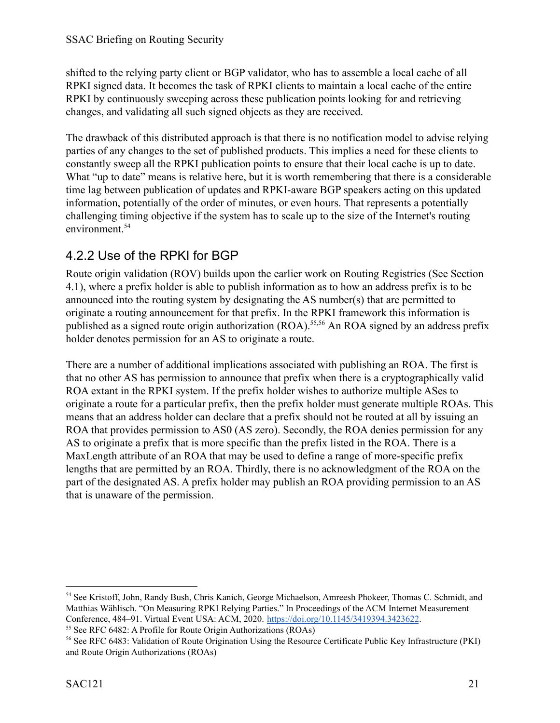shifted to the relying party client or BGP validator, who has to assemble a local cache of all RPKI signed data. It becomes the task of RPKI clients to maintain a local cache of the entire RPKI by continuously sweeping across these publication points looking for and retrieving changes, and validating all such signed objects as they are received.

The drawback of this distributed approach is that there is no notification model to advise relying parties of any changes to the set of published products. This implies a need for these clients to constantly sweep all the RPKI publication points to ensure that their local cache is up to date. What "up to date" means is relative here, but it is worth remembering that there is a considerable time lag between publication of updates and RPKI-aware BGP speakers acting on this updated information, potentially of the order of minutes, or even hours. That represents a potentially challenging timing objective if the system has to scale up to the size of the Internet's routing environment.<sup>54</sup>

### <span id="page-20-0"></span>4.2.2 Use of the RPKI for BGP

Route origin validation (ROV) builds upon the earlier work on Routing Registries (See Section 4.1), where a prefix holder is able to publish information as to how an address prefix is to be announced into the routing system by designating the AS number(s) that are permitted to originate a routing announcement for that prefix. In the RPKI framework this information is published as a signed route origin authorization (ROA).<sup>55,56</sup> An ROA signed by an address prefix holder denotes permission for an AS to originate a route.

There are a number of additional implications associated with publishing an ROA. The first is that no other AS has permission to announce that prefix when there is a cryptographically valid ROA extant in the RPKI system. If the prefix holder wishes to authorize multiple ASes to originate a route for a particular prefix, then the prefix holder must generate multiple ROAs. This means that an address holder can declare that a prefix should not be routed at all by issuing an ROA that provides permission to AS0 (AS zero). Secondly, the ROA denies permission for any AS to originate a prefix that is more specific than the prefix listed in the ROA. There is a MaxLength attribute of an ROA that may be used to define a range of more-specific prefix lengths that are permitted by an ROA. Thirdly, there is no acknowledgment of the ROA on the part of the designated AS. A prefix holder may publish an ROA providing permission to an AS that is unaware of the permission.

<sup>54</sup> See Kristoff, John, Randy Bush, Chris Kanich, George Michaelson, Amreesh Phokeer, Thomas C. Schmidt, and Matthias Wählisch. "On Measuring RPKI Relying Parties." In Proceedings of the ACM Internet Measurement Conference, 484–91. Virtual Event USA: ACM, 2020. <https://doi.org/10.1145/3419394.3423622>.

<sup>55</sup> See RFC 6482: A Profile for Route Origin Authorizations (ROAs)

<sup>56</sup> See RFC 6483: Validation of Route Origination Using the Resource Certificate Public Key Infrastructure (PKI) and Route Origin Authorizations (ROAs)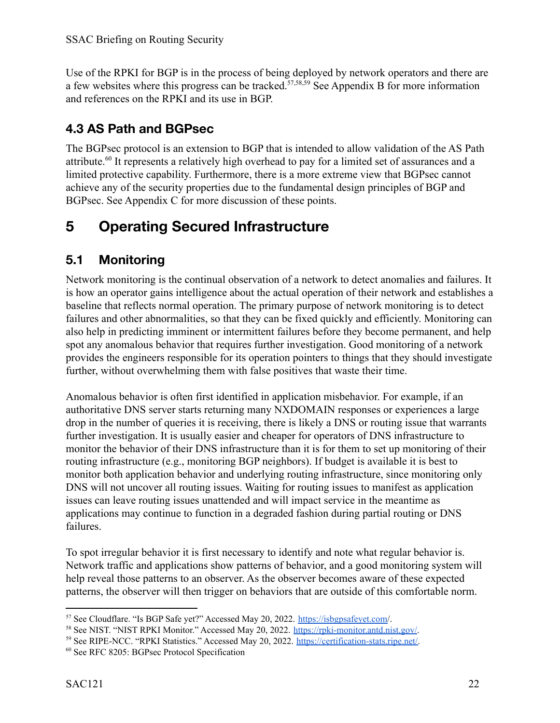Use of the RPKI for BGP is in the process of being deployed by network operators and there are a few websites where this progress can be tracked.<sup>57,58,59</sup> See Appendix B for more information and references on the RPKI and its use in BGP.

### <span id="page-21-0"></span>**4.3 AS Path and BGPsec**

The BGPsec protocol is an extension to BGP that is intended to allow validation of the AS Path attribute.<sup>60</sup> It represents a relatively high overhead to pay for a limited set of assurances and a limited protective capability. Furthermore, there is a more extreme view that BGPsec cannot achieve any of the security properties due to the fundamental design principles of BGP and BGPsec. See Appendix C for more discussion of these points.

## <span id="page-21-1"></span>**5 Operating Secured Infrastructure**

### <span id="page-21-2"></span>**5.1 Monitoring**

Network monitoring is the continual observation of a network to detect anomalies and failures. It is how an operator gains intelligence about the actual operation of their network and establishes a baseline that reflects normal operation. The primary purpose of network monitoring is to detect failures and other abnormalities, so that they can be fixed quickly and efficiently. Monitoring can also help in predicting imminent or intermittent failures before they become permanent, and help spot any anomalous behavior that requires further investigation. Good monitoring of a network provides the engineers responsible for its operation pointers to things that they should investigate further, without overwhelming them with false positives that waste their time.

Anomalous behavior is often first identified in application misbehavior. For example, if an authoritative DNS server starts returning many NXDOMAIN responses or experiences a large drop in the number of queries it is receiving, there is likely a DNS or routing issue that warrants further investigation. It is usually easier and cheaper for operators of DNS infrastructure to monitor the behavior of their DNS infrastructure than it is for them to set up monitoring of their routing infrastructure (e.g., monitoring BGP neighbors). If budget is available it is best to monitor both application behavior and underlying routing infrastructure, since monitoring only DNS will not uncover all routing issues. Waiting for routing issues to manifest as application issues can leave routing issues unattended and will impact service in the meantime as applications may continue to function in a degraded fashion during partial routing or DNS failures.

To spot irregular behavior it is first necessary to identify and note what regular behavior is. Network traffic and applications show patterns of behavior, and a good monitoring system will help reveal those patterns to an observer. As the observer becomes aware of these expected patterns, the observer will then trigger on behaviors that are outside of this comfortable norm.

<sup>57</sup> See Cloudflare. "Is BGP Safe yet?" Accessed May 20, 2022. [https://isbgpsafeyet.com/](https://isbgpsafeyet.com).

<sup>58</sup> See NIST. "NIST RPKI Monitor." Accessed May 20, 2022. <https://rpki-monitor.antd.nist.gov/>.

<sup>59</sup> See RIPE-NCC. "RPKI Statistics." Accessed May 20, 2022. [https://certification-stats.ripe.net/.](https://certification-stats.ripe.net/)

<sup>60</sup> See RFC 8205: BGPsec Protocol Specification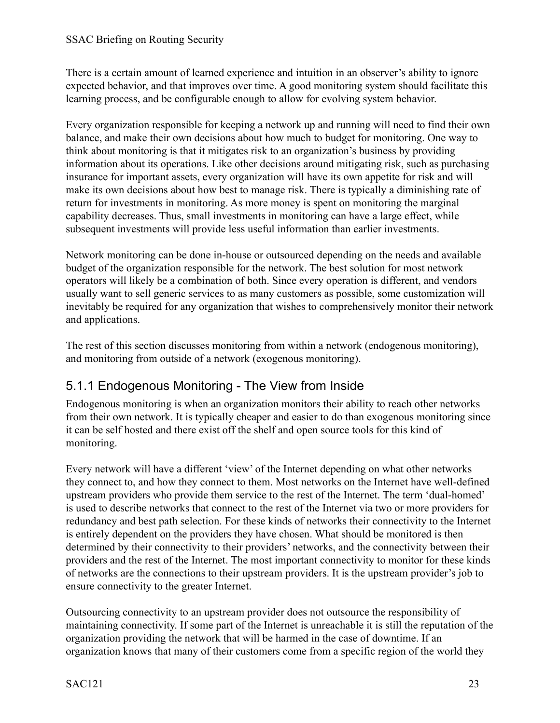There is a certain amount of learned experience and intuition in an observer's ability to ignore expected behavior, and that improves over time. A good monitoring system should facilitate this learning process, and be configurable enough to allow for evolving system behavior.

Every organization responsible for keeping a network up and running will need to find their own balance, and make their own decisions about how much to budget for monitoring. One way to think about monitoring is that it mitigates risk to an organization's business by providing information about its operations. Like other decisions around mitigating risk, such as purchasing insurance for important assets, every organization will have its own appetite for risk and will make its own decisions about how best to manage risk. There is typically a diminishing rate of return for investments in monitoring. As more money is spent on monitoring the marginal capability decreases. Thus, small investments in monitoring can have a large effect, while subsequent investments will provide less useful information than earlier investments.

Network monitoring can be done in-house or outsourced depending on the needs and available budget of the organization responsible for the network. The best solution for most network operators will likely be a combination of both. Since every operation is different, and vendors usually want to sell generic services to as many customers as possible, some customization will inevitably be required for any organization that wishes to comprehensively monitor their network and applications.

The rest of this section discusses monitoring from within a network (endogenous monitoring), and monitoring from outside of a network (exogenous monitoring).

### <span id="page-22-0"></span>5.1.1 Endogenous Monitoring - The View from Inside

Endogenous monitoring is when an organization monitors their ability to reach other networks from their own network. It is typically cheaper and easier to do than exogenous monitoring since it can be self hosted and there exist off the shelf and open source tools for this kind of monitoring.

Every network will have a different 'view' of the Internet depending on what other networks they connect to, and how they connect to them. Most networks on the Internet have well-defined upstream providers who provide them service to the rest of the Internet. The term 'dual-homed' is used to describe networks that connect to the rest of the Internet via two or more providers for redundancy and best path selection. For these kinds of networks their connectivity to the Internet is entirely dependent on the providers they have chosen. What should be monitored is then determined by their connectivity to their providers' networks, and the connectivity between their providers and the rest of the Internet. The most important connectivity to monitor for these kinds of networks are the connections to their upstream providers. It is the upstream provider's job to ensure connectivity to the greater Internet.

Outsourcing connectivity to an upstream provider does not outsource the responsibility of maintaining connectivity. If some part of the Internet is unreachable it is still the reputation of the organization providing the network that will be harmed in the case of downtime. If an organization knows that many of their customers come from a specific region of the world they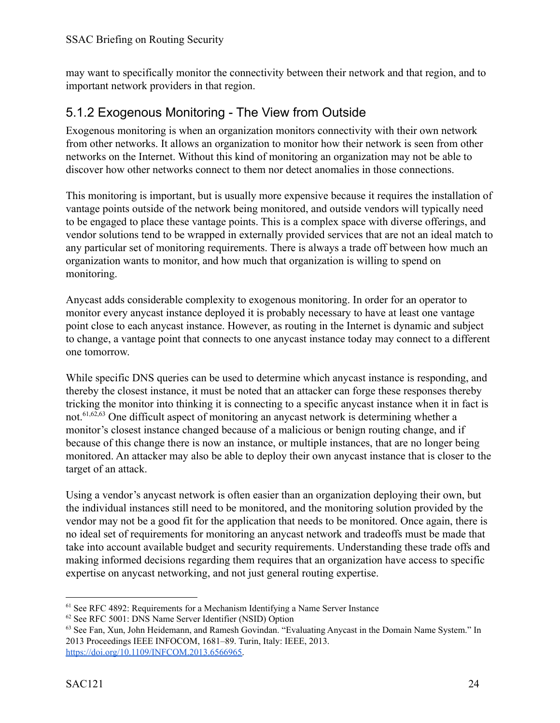may want to specifically monitor the connectivity between their network and that region, and to important network providers in that region.

### <span id="page-23-0"></span>5.1.2 Exogenous Monitoring - The View from Outside

Exogenous monitoring is when an organization monitors connectivity with their own network from other networks. It allows an organization to monitor how their network is seen from other networks on the Internet. Without this kind of monitoring an organization may not be able to discover how other networks connect to them nor detect anomalies in those connections.

This monitoring is important, but is usually more expensive because it requires the installation of vantage points outside of the network being monitored, and outside vendors will typically need to be engaged to place these vantage points. This is a complex space with diverse offerings, and vendor solutions tend to be wrapped in externally provided services that are not an ideal match to any particular set of monitoring requirements. There is always a trade off between how much an organization wants to monitor, and how much that organization is willing to spend on monitoring.

Anycast adds considerable complexity to exogenous monitoring. In order for an operator to monitor every anycast instance deployed it is probably necessary to have at least one vantage point close to each anycast instance. However, as routing in the Internet is dynamic and subject to change, a vantage point that connects to one anycast instance today may connect to a different one tomorrow.

While specific DNS queries can be used to determine which anycast instance is responding, and thereby the closest instance, it must be noted that an attacker can forge these responses thereby tricking the monitor into thinking it is connecting to a specific anycast instance when it in fact is not.  $61,62,63$  One difficult aspect of monitoring an any cast network is determining whether a monitor's closest instance changed because of a malicious or benign routing change, and if because of this change there is now an instance, or multiple instances, that are no longer being monitored. An attacker may also be able to deploy their own anycast instance that is closer to the target of an attack.

Using a vendor's anycast network is often easier than an organization deploying their own, but the individual instances still need to be monitored, and the monitoring solution provided by the vendor may not be a good fit for the application that needs to be monitored. Once again, there is no ideal set of requirements for monitoring an anycast network and tradeoffs must be made that take into account available budget and security requirements. Understanding these trade offs and making informed decisions regarding them requires that an organization have access to specific expertise on anycast networking, and not just general routing expertise.

<sup>&</sup>lt;sup>61</sup> See RFC 4892: Requirements for a Mechanism Identifying a Name Server Instance

<sup>62</sup> See RFC 5001: DNS Name Server Identifier (NSID) Option

<sup>&</sup>lt;sup>63</sup> See Fan, Xun, John Heidemann, and Ramesh Govindan. "Evaluating Anycast in the Domain Name System." In 2013 Proceedings IEEE INFOCOM, 1681–89. Turin, Italy: IEEE, 2013. [https://doi.org/10.1109/INFCOM.2013.6566965.](https://doi.org/10.1109/INFCOM.2013.6566965)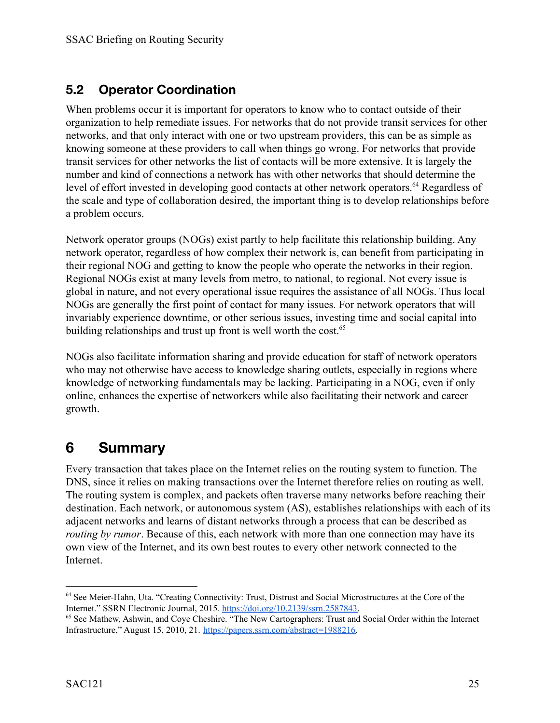### <span id="page-24-0"></span>**5.2 Operator Coordination**

When problems occur it is important for operators to know who to contact outside of their organization to help remediate issues. For networks that do not provide transit services for other networks, and that only interact with one or two upstream providers, this can be as simple as knowing someone at these providers to call when things go wrong. For networks that provide transit services for other networks the list of contacts will be more extensive. It is largely the number and kind of connections a network has with other networks that should determine the level of effort invested in developing good contacts at other network operators.  $^{64}$  Regardless of the scale and type of collaboration desired, the important thing is to develop relationships before a problem occurs.

Network operator groups (NOGs) exist partly to help facilitate this relationship building. Any network operator, regardless of how complex their network is, can benefit from participating in their regional NOG and getting to know the people who operate the networks in their region. Regional NOGs exist at many levels from metro, to national, to regional. Not every issue is global in nature, and not every operational issue requires the assistance of all NOGs. Thus local NOGs are generally the first point of contact for many issues. For network operators that will invariably experience downtime, or other serious issues, investing time and social capital into building relationships and trust up front is well worth the cost.<sup>65</sup>

NOGs also facilitate information sharing and provide education for staff of network operators who may not otherwise have access to knowledge sharing outlets, especially in regions where knowledge of networking fundamentals may be lacking. Participating in a NOG, even if only online, enhances the expertise of networkers while also facilitating their network and career growth.

## <span id="page-24-1"></span>**6 Summary**

Every transaction that takes place on the Internet relies on the routing system to function. The DNS, since it relies on making transactions over the Internet therefore relies on routing as well. The routing system is complex, and packets often traverse many networks before reaching their destination. Each network, or autonomous system (AS), establishes relationships with each of its adjacent networks and learns of distant networks through a process that can be described as *routing by rumor.* Because of this, each network with more than one connection may have its own view of the Internet, and its own best routes to every other network connected to the Internet.

<sup>64</sup> See Meier-Hahn, Uta. "Creating Connectivity: Trust, Distrust and Social Microstructures at the Core of the Internet." SSRN Electronic Journal, 2015. [https://doi.org/10.2139/ssrn.2587843.](https://doi.org/10.2139/ssrn.2587843)

<sup>65</sup> See Mathew, Ashwin, and Coye Cheshire. "The New Cartographers: Trust and Social Order within the Internet Infrastructure," August 15, 2010, 21. [https://papers.ssrn.com/abstract=1988216.](https://papers.ssrn.com/abstract=1988216)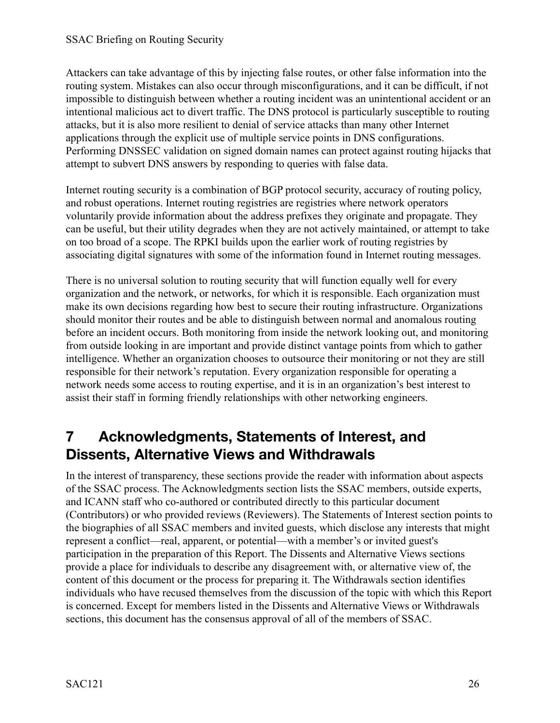Attackers can take advantage of this by injecting false routes, or other false information into the routing system. Mistakes can also occur through misconfigurations, and it can be difficult, if not impossible to distinguish between whether a routing incident was an unintentional accident or an intentional malicious act to divert traffic. The DNS protocol is particularly susceptible to routing attacks, but it is also more resilient to denial of service attacks than many other Internet applications through the explicit use of multiple service points in DNS configurations. Performing DNSSEC validation on signed domain names can protect against routing hijacks that attempt to subvert DNS answers by responding to queries with false data.

Internet routing security is a combination of BGP protocol security, accuracy of routing policy, and robust operations. Internet routing registries are registries where network operators voluntarily provide information about the address prefixes they originate and propagate. They can be useful, but their utility degrades when they are not actively maintained, or attempt to take on too broad of a scope. The RPKI builds upon the earlier work of routing registries by associating digital signatures with some of the information found in Internet routing messages.

There is no universal solution to routing security that will function equally well for every organization and the network, or networks, for which it is responsible. Each organization must make its own decisions regarding how best to secure their routing infrastructure. Organizations should monitor their routes and be able to distinguish between normal and anomalous routing before an incident occurs. Both monitoring from inside the network looking out, and monitoring from outside looking in are important and provide distinct vantage points from which to gather intelligence. Whether an organization chooses to outsource their monitoring or not they are still responsible for their network's reputation. Every organization responsible for operating a network needs some access to routing expertise, and it is in an organization's best interest to assist their staff in forming friendly relationships with other networking engineers.

## <span id="page-25-0"></span>**7 Acknowledgments, Statements of Interest, and Dissents, Alternative Views and Withdrawals**

In the interest of transparency, these sections provide the reader with information about aspects of the SSAC process. The Acknowledgments section lists the SSAC members, outside experts, and ICANN staff who co-authored or contributed directly to this particular document (Contributors) or who provided reviews (Reviewers). The Statements of Interest section points to the biographies of all SSAC members and invited guests, which disclose any interests that might represent a conflict—real, apparent, or potential—with a member's or invited guest's participation in the preparation of this Report. The Dissents and Alternative Views sections provide a place for individuals to describe any disagreement with, or alternative view of, the content of this document or the process for preparing it. The Withdrawals section identifies individuals who have recused themselves from the discussion of the topic with which this Report is concerned. Except for members listed in the Dissents and Alternative Views or Withdrawals sections, this document has the consensus approval of all of the members of SSAC.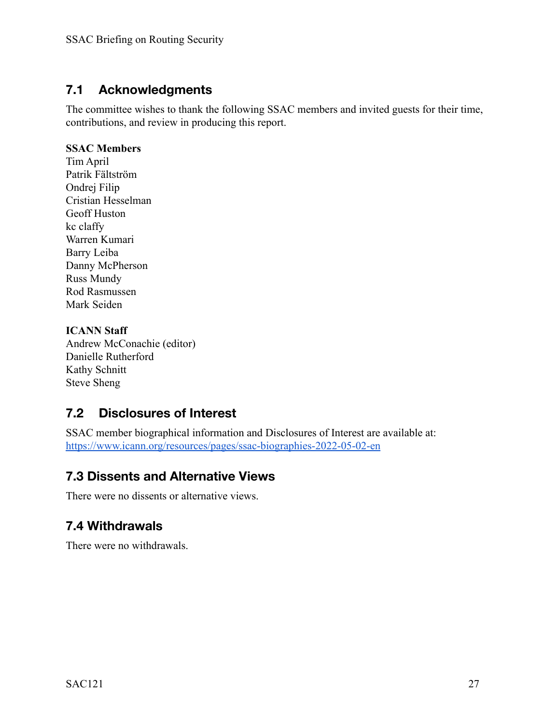### <span id="page-26-0"></span>**7.1 Acknowledgments**

The committee wishes to thank the following SSAC members and invited guests for their time, contributions, and review in producing this report.

#### **SSAC Members**

Tim April Patrik Fältström Ondrej Filip Cristian Hesselman Geoff Huston kc claffy Warren Kumari Barry Leiba Danny McPherson Russ Mundy Rod Rasmussen Mark Seiden

#### **ICANN Staff**

Andrew McConachie (editor) Danielle Rutherford Kathy Schnitt Steve Sheng

### <span id="page-26-1"></span>**7.2 Disclosures of Interest**

SSAC member biographical information and Disclosures of Interest are available at: <https://www.icann.org/resources/pages/ssac-biographies-2022-05-02-en>

### <span id="page-26-2"></span>**7.3 Dissents and Alternative Views**

<span id="page-26-3"></span>There were no dissents or alternative views.

### **7.4 Withdrawals**

There were no withdrawals.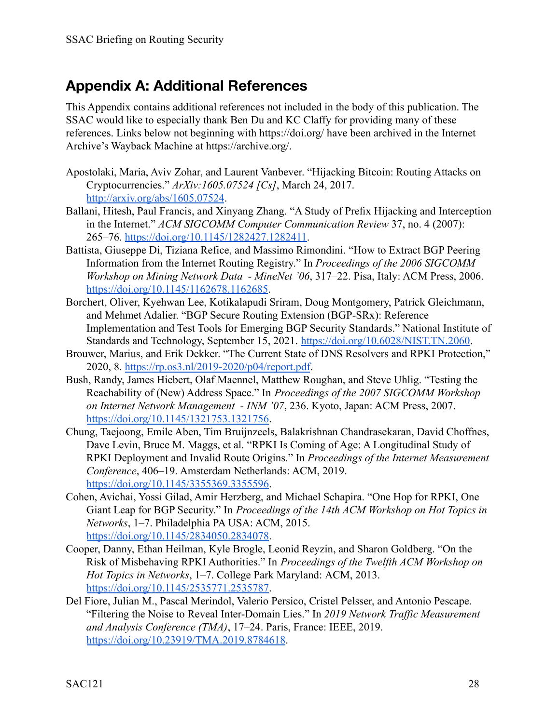## <span id="page-27-0"></span>**Appendix A: Additional References**

This Appendix contains additional references not included in the body of this publication. The SSAC would like to especially thank Ben Du and KC Claffy for providing many of these references. Links below not beginning with https://doi.org/ have been archived in the Internet Archive's Wayback Machine at https://archive.org/.

- Apostolaki, Maria, Aviv Zohar, and Laurent Vanbever. "Hijacking Bitcoin: Routing Attacks on Cryptocurrencies." *ArXiv:1605.07524 [Cs]*, March 24, 2017. <http://arxiv.org/abs/1605.07524>.
- Ballani, Hitesh, Paul Francis, and Xinyang Zhang. "A Study of Prefix Hijacking and Interception in the Internet." *ACM SIGCOMM Computer Communication Review* 37, no. 4 (2007): 265–76. [https://doi.org/10.1145/1282427.1282411.](https://doi.org/10.1145/1282427.1282411)
- Battista, Giuseppe Di, Tiziana Refice, and Massimo Rimondini. "How to Extract BGP Peering Information from the Internet Routing Registry." In *Proceedings of the 2006 SIGCOMM Workshop on Mining Network Data - MineNet '06*, 317–22. Pisa, Italy: ACM Press, 2006. <https://doi.org/10.1145/1162678.1162685>.
- Borchert, Oliver, Kyehwan Lee, Kotikalapudi Sriram, Doug Montgomery, Patrick Gleichmann, and Mehmet Adalier. "BGP Secure Routing Extension (BGP-SRx): Reference Implementation and Test Tools for Emerging BGP Security Standards." National Institute of Standards and Technology, September 15, 2021. <https://doi.org/10.6028/NIST.TN.2060>.
- Brouwer, Marius, and Erik Dekker. "The Current State of DNS Resolvers and RPKI Protection," 2020, 8. <https://rp.os3.nl/2019-2020/p04/report.pdf>.
- Bush, Randy, James Hiebert, Olaf Maennel, Matthew Roughan, and Steve Uhlig. "Testing the Reachability of (New) Address Space." In *Proceedings of the 2007 SIGCOMM Workshop on Internet Network Management - INM '07*, 236. Kyoto, Japan: ACM Press, 2007. <https://doi.org/10.1145/1321753.1321756>.
- Chung, Taejoong, Emile Aben, Tim Bruijnzeels, Balakrishnan Chandrasekaran, David Choffnes, Dave Levin, Bruce M. Maggs, et al. "RPKI Is Coming of Age: A Longitudinal Study of RPKI Deployment and Invalid Route Origins." In *Proceedi[n](https://doi.org/10.1145/3355369.3355596)gs of the Internet Measurement Conference*, 406–19. Amsterdam Netherlands: ACM, 2019. <https://doi.org/10.1145/3355369.3355596>.
- Cohen, Avichai, Yossi Gilad, Amir Herzberg, and Michael Schapira. "One Hop for RPKI, One Giant Leap for BGP Security." In *Proceedings of the 14th ACM Workshop on Hot Topics in Networks*, 1–7. Philadelphia PA USA: ACM, 2015. <https://doi.org/10.1145/2834050.2834078>.
- Cooper, Danny, Ethan Heilman, Kyle Brogle, Leonid Reyzin, and Sharon Goldberg. "On the Risk of Misbehaving RPKI Authorities." In *Proceedings of the Tw[el](https://doi.org/10.1145/2535771.2535787)fth ACM Workshop on Hot Topics in Networks*, 1–7. College Park Maryland: ACM, 2013. <https://doi.org/10.1145/2535771.2535787>.
- Del Fiore, Julian M., Pascal Merindol, Valerio Persico, Cristel Pelsser, and Antonio Pescape. "Filtering the Noise to Reveal Inter-Domain Lies." In *2019 Network Traffic Measurement and Analysis Conference (TMA)*, 17–24. Paris, France: IEEE, 2019. <https://doi.org/10.23919/TMA.2019.8784618>.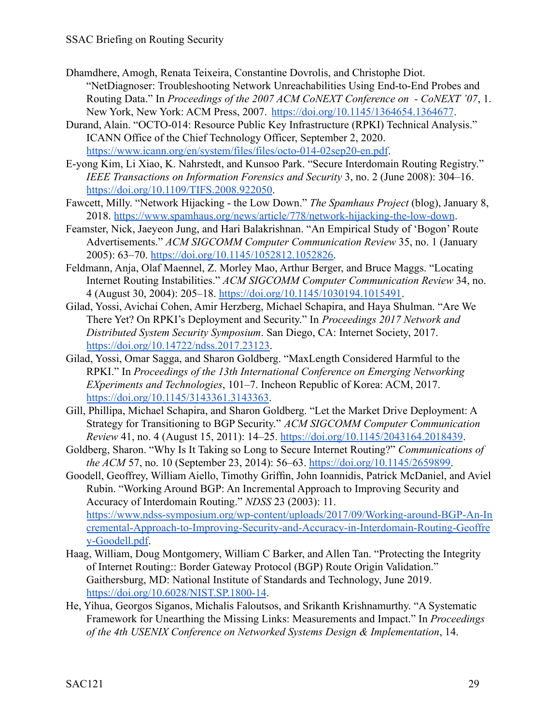- Dhamdhere, Amogh, Renata Teixeira, Constantine Dovrolis, and Christophe Diot. "NetDiagnoser: Troubleshooting Network Unreachabilities Using End-to-End Probes and Routing Data." In *Proceedings of the 2007 ACM CoNEXT Conference on - CoNEXT '07*, 1. New York, New York: ACM Press, 2007. <https://doi.org/10.1145/1364654.1364677>.
- Durand, Alain. "OCTO-014: Resource Public Key Infrastructure (RPKI) Technical Analysis." ICANN Office of the Chief Technology Officer, September 2, 2020. <https://www.icann.org/en/system/files/files/octo-014-02sep20-en.pdf>.
- E-yong Kim, Li Xiao, K. Nahrstedt, and Kunsoo Park. "Secure Interdomain Routing Registry." *IEEE Transactions on Information Forensics and Security* 3, no. 2 (June 2008): 304–16[.](https://doi.org/10.1109/TIFS.2008.922050) [https://doi.org/10.1109/TIFS.2008.922050.](https://doi.org/10.1109/TIFS.2008.922050)
- Fawcett, Milly. "Network Hijacking the Low Down." *The Spamhaus Project* (blog), January 8, 2018. <https://www.spamhaus.org/news/article/778/network-hijacking-the-low-down>.
- Feamster, Nick, Jaeyeon Jung, and Hari Balakrishnan. "An Empirical Study of 'Bogon' Route Advertisements." *ACM SIGCOMM Computer Communication Review* 35, no. 1 (January 2005): 63–70. [https://doi.org/10.1145/1052812.1052826.](https://doi.org/10.1145/1052812.1052826)
- Feldmann, Anja, Olaf Maennel, Z. Morley Mao, Arthur Berger, and Bruce Maggs. "Locating Internet Routing Instabilities." *ACM SIGCOMM Computer Communication Review* 34, no. 4 (August 30, 2004): 205–18. <https://doi.org/10.1145/1030194.1015491>.
- Gilad, Yossi, Avichai Cohen, Amir Herzberg, Michael Schapira, and Haya Shulman. "Are We There Yet? On RPKI's Deployment and Security." In *Proceedings 2017 Network and Distributed System Security Symposium*. San Diego, CA: Internet Society, 2017[.](https://doi.org/10.14722/ndss.2017.23123) [https://doi.org/10.14722/ndss.2017.23123.](https://doi.org/10.14722/ndss.2017.23123)
- Gilad, Yossi, Omar Sagga, and Sharon Goldberg. "MaxLength Considered Harmful to the RPKI." In *Proceedings of the 13th International Conference on Emerging Networking EXperiments and Technologies*, 101–7. Incheon Republic of Korea: ACM, 2017. <https://doi.org/10.1145/3143361.3143363>.
- Gill, Phillipa, Michael Schapira, and Sharon Goldberg. "Let the Market Drive Deployment: A Strategy for Transitioning to BGP Security." *ACM SIGCOMM Computer Communication Review* 41, no. 4 (August 15, 2011): 14–25. <https://doi.org/10.1145/2043164.2018439>.
- Goldberg, Sharon. "Why Is It Taking so Long to Secure Internet Routing?" *Communications of the ACM* 57, no. 10 (September 23, 2014): 56–63. [https://doi.org/10.1145/2659899.](https://doi.org/10.1145/2659899)
- Goodell, Geoffrey, William Aiello, Timothy Griffin, John Ioannidis, Patrick McDaniel, and Aviel Rubin. "Working Around BGP: An Incremental Approach to Improving Security and Accuracy of Interdomain Routing." *NDSS* 23 (2003): 11. [https://www.ndss-symposium.org/wp-content/uploads/2017/09/Working-around-BGP-An-In](https://www.ndss-symposium.org/wp-content/uploads/2017/09/Working-around-BGP-An-Incremental-Approach-to-Improving-Security-and-Accuracy-in-Interdomain-Routing-Geoffrey-Goodell.pdf) [cremental-Approach-to-Improving-Security-and-Accuracy-in-Interdomain-Routing-Geoffre](https://www.ndss-symposium.org/wp-content/uploads/2017/09/Working-around-BGP-An-Incremental-Approach-to-Improving-Security-and-Accuracy-in-Interdomain-Routing-Geoffrey-Goodell.pdf) [y-Goodell.pdf](https://www.ndss-symposium.org/wp-content/uploads/2017/09/Working-around-BGP-An-Incremental-Approach-to-Improving-Security-and-Accuracy-in-Interdomain-Routing-Geoffrey-Goodell.pdf).
- Haag, William, Doug Montgomery, William C Barker, and Allen Tan. "Protecting the Integrity of Internet Routing:: Border Gateway Protocol (BGP) Route Origin Validation." Gaithersburg, MD: National Institute of Standards and Technology, June 2019. <https://doi.org/10.6028/NIST.SP.1800-14>.
- He, Yihua, Georgos Siganos, Michalis Faloutsos, and Srikanth Krishnamurthy. "A Systematic Framework for Unearthing the Missing Links: Measurements and Impact." In *Proceedings of the 4th USENIX Conference on Networked Systems Design & Implementation*, 14.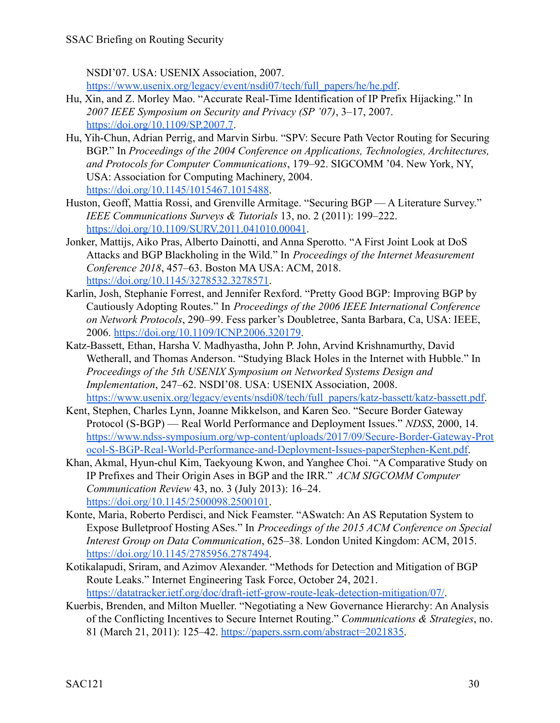NSDI'07. USA: USENIX Association, 2007.

[https://www.usenix.org/legacy/event/nsdi07/tech/full\\_papers/he/he.pdf](https://www.usenix.org/legacy/event/nsdi07/tech/full_papers/he/he.pdf).

- Hu, Xin, and Z. Morley Mao. "Accurate Real-Time Identification of IP Prefix Hijacking." In *2007 IEEE Symposium on Security and Privacy (SP '07)*, 3–17, 2007[.](https://doi.org/10.1109/SP.2007.7) <https://doi.org/10.1109/SP.2007.7>.
- Hu, Yih-Chun, Adrian Perrig, and Marvin Sirbu. "SPV: Secure Path Vector Routing for Securing BGP." In *Proceedings of the 2004 Conference on Applications, Technologies, Architectures, and Protocols for Computer Communications*, 179–92. SIGCOMM '04. New York, NY, USA: Association for Computing Machinery, 2004. <https://doi.org/10.1145/1015467.1015488>.
- Huston, Geoff, Mattia Rossi, and Grenville Armitage. "Securing BGP A Literature Survey." *IEEE Communications Surveys & Tutorials* 13, no. 2 (2011): 199–222. <https://doi.org/10.1109/SURV.2011.041010.00041>.
- Jonker, Mattijs, Aiko Pras, Alberto Dainotti, and Anna Sperotto. "A First Joint Look at DoS Attacks and BGP Blackholing in the Wild." In *Proceedings of the Internet Measurement Conference 2018*, 457–63. Boston MA USA: ACM, 2018. <https://doi.org/10.1145/3278532.3278571>.
- Karlin, Josh, Stephanie Forrest, and Jennifer Rexford. "Pretty Good BGP: Improving BGP by Cautiously Adopting Routes." In *Proceedings of the 2006 IEEE International Conference on Network Protocols*, 290–99. Fess parker's Doubletree, Santa Barbara, Ca, USA: IEEE, 2006. <https://doi.org/10.1109/ICNP.2006.320179>.
- Katz-Bassett, Ethan, Harsha V. Madhyastha, John P. John, Arvind Krishnamurthy, David Wetherall, and Thomas Anderson. "Studying Black Holes in the Internet with Hubble." In *Proceedings of the 5th USENIX Symposium on Networked Systems Design and Implementation*, 247–62. NSDI'08. USA: USENIX Association, 2008. [https://www.usenix.org/legacy/events/nsdi08/tech/full\\_papers/katz-bassett/katz-bassett.pdf.](https://www.usenix.org/legacy/events/nsdi08/tech/full_papers/katz-bassett/katz-bassett.pdf)
- Kent, Stephen, Charles Lynn, Joanne Mikkelson, and Karen Seo. "Secure Border Gateway Protocol (S-BGP) — Real World Performance and Deployment Issues." *NDSS*, 2000, 14[.](https://www.ndss-symposium.org/wp-content/uploads/2017/09/Secure-Border-Gateway-Protocol-S-BGP-Real-World-Performance-and-Deployment-Issues-paperStephen-Kent.pdf) [https://www.ndss-symposium.org/wp-content/uploads/2017/09/Secure-Border-Gateway-Prot](https://www.ndss-symposium.org/wp-content/uploads/2017/09/Secure-Border-Gateway-Protocol-S-BGP-Real-World-Performance-and-Deployment-Issues-paperStephen-Kent.pdf) [ocol-S-BGP-Real-World-Performance-and-Deployment-Issues-paperStephen-Kent.pdf.](https://www.ndss-symposium.org/wp-content/uploads/2017/09/Secure-Border-Gateway-Protocol-S-BGP-Real-World-Performance-and-Deployment-Issues-paperStephen-Kent.pdf)
- Khan, Akmal, Hyun-chul Kim, Taekyoung Kwon, and Yanghee Choi. "A Comparative Study on IP Prefixes and Their Origin Ases in BGP and the IRR." *ACM SIGCOMM Computer Communication Review* 43, no. 3 (July 2013): 16–24[.](https://doi.org/10.1145/2500098.2500101) <https://doi.org/10.1145/2500098.2500101>.
- Konte, Maria, Roberto Perdisci, and Nick Feamster. "ASwatch: An AS Reputation System to Expose Bulletproof Hosting ASes." In *Proceedings of the 2015 ACM Conference on Special Interest Group on Data Communication*, 625–38. London United Kingdom: ACM, 2015. <https://doi.org/10.1145/2785956.2787494>.
- Kotikalapudi, Sriram, and Azimov Alexander. "Methods for Detection and Mitigation of BGP Route Leaks." Internet Engineering Task Force, October 24, 2021. <https://datatracker.ietf.org/doc/draft-ietf-grow-route-leak-detection-mitigation/07/>.
- Kuerbis, Brenden, and Milton Mueller. "Negotiating a New Governance Hierarchy: An Analysis of the Conflicting Incentives to Secure Internet Routing." *Communications & Strategies*, no. 81 (March 21, 2011): 125–42. [https://papers.ssrn.com/abstract=2021835.](https://papers.ssrn.com/abstract=2021835)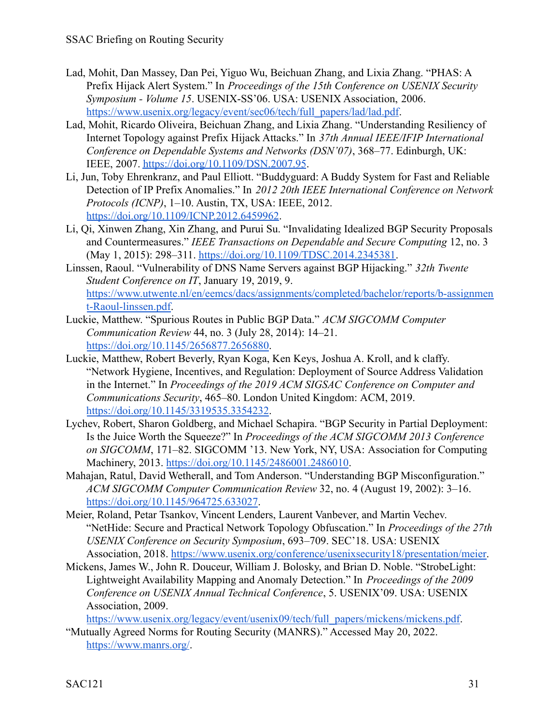- Lad, Mohit, Dan Massey, Dan Pei, Yiguo Wu, Beichuan Zhang, and Lixia Zhang. "PHAS: A Prefix Hijack Alert System." In *Proceedings of the 15th Conference on USE[NI](https://www.usenix.org/legacy/event/sec06/tech/full_papers/lad/lad.pdf)X Security Symposium - Volume 15*. USENIX-SS'06. USA: USENIX Association, 2006. [https://www.usenix.org/legacy/event/sec06/tech/full\\_papers/lad/lad.pdf](https://www.usenix.org/legacy/event/sec06/tech/full_papers/lad/lad.pdf).
- Lad, Mohit, Ricardo Oliveira, Beichuan Zhang, and Lixia Zhang. "Understanding Resiliency of Internet Topology against Prefix Hijack Attacks." In *37th Annual IEEE/IFIP International Conference on Dependable Systems and Networks (DSN'07)*, 368–77. Edinburgh, UK: IEEE, 2007. <https://doi.org/10.1109/DSN.2007.95>.
- Li, Jun, Toby Ehrenkranz, and Paul Elliott. "Buddyguard: A Buddy System for Fast and Reliable Detection of IP Prefix Anomalies." In *2012 20th IEEE I[n](https://doi.org/10.1109/ICNP.2012.6459962)ternational Conference on Network Protocols (ICNP)*, 1–10. Austin, TX, USA: IEEE, 2012. <https://doi.org/10.1109/ICNP.2012.6459962>.
- Li, Qi, Xinwen Zhang, Xin Zhang, and Purui Su. "Invalidating Idealized BGP Security Proposals and Countermeasures." *IEEE Transactions on Dependable and Secure Computing* 12, no. 3 (May 1, 2015): 298–311. [https://doi.org/10.1109/TDSC.2014.2345381.](https://doi.org/10.1109/TDSC.2014.2345381)
- Linssen, Raoul. "Vulnerability of DNS Name Servers against BGP Hijacking." *32th Twente Student Conference on IT*, January 19, 2019, 9[.](https://www.utwente.nl/en/eemcs/dacs/assignments/completed/bachelor/reports/b-assignment-Raoul-linssen.pdf) [https://www.utwente.nl/en/eemcs/dacs/assignments/completed/bachelor/reports/b-assignmen](https://www.utwente.nl/en/eemcs/dacs/assignments/completed/bachelor/reports/b-assignment-Raoul-linssen.pdf) [t-Raoul-linssen.pdf.](https://www.utwente.nl/en/eemcs/dacs/assignments/completed/bachelor/reports/b-assignment-Raoul-linssen.pdf)
- Luckie, Matthew. "Spurious Routes in Public BGP Data." *ACM SIGCOMM Computer Communication Review* 44, no. 3 (July 28, 2014): 14–21[.](https://doi.org/10.1145/2656877.2656880) <https://doi.org/10.1145/2656877.2656880>.
- Luckie, Matthew, Robert Beverly, Ryan Koga, Ken Keys, Joshua A. Kroll, and k claffy. "Network Hygiene, Incentives, and Regulation: Deployment of Source Address Validation in the Internet." In *Proceedings of the 2019 ACM SIGSAC Conference on Computer and Communications Security*, 465–80. London United Kingdom: ACM, 2019[.](https://doi.org/10.1145/3319535.3354232) <https://doi.org/10.1145/3319535.3354232>.
- Lychev, Robert, Sharon Goldberg, and Michael Schapira. "BGP Security in Partial Deployment: Is the Juice Worth the Squeeze?" In *Proceedings of the ACM SIGCOMM 2013 Conference on SIGCOMM*, 171–82. SIGCOMM '13. New York, NY, USA: Association for Computing Machinery, 2013. <https://doi.org/10.1145/2486001.2486010>.
- Mahajan, Ratul, David Wetherall, and Tom Anderson. "Understanding BGP Misconfiguration." *ACM SIGCOMM Computer Communication Review* 32, no. 4 (August 19, 2002): 3–16[.](https://doi.org/10.1145/964725.633027) <https://doi.org/10.1145/964725.633027>.
- Meier, Roland, Petar Tsankov, Vincent Lenders, Laurent Vanbever, and Martin Vechev. "NetHide: Secure and Practical Network Topology Obfuscation." In *Proceedings of the 27th USENIX Conference on Security Symposium*, 693–709. SEC'18. USA: USENIX Association, 2018. <https://www.usenix.org/conference/usenixsecurity18/presentation/meier>.
- Mickens, James W., John R. Douceur, William J. Bolosky, and Brian D. Noble. "StrobeLight: Lightweight Availability Mapping and Anomaly Detection." In *Proceedings of the 2009 Conference on USENIX Annual Technical Conference*, 5. USENIX'09. USA: USENIX Association, 2009[.](https://www.usenix.org/legacy/event/usenix09/tech/full_papers/mickens/mickens.pdf)

[https://www.usenix.org/legacy/event/usenix09/tech/full\\_papers/mickens/mickens.pdf](https://www.usenix.org/legacy/event/usenix09/tech/full_papers/mickens/mickens.pdf).

"Mutually Agreed Norms for Routing Security (MANRS)." Accessed May 20, 2022. <https://www.manrs.org/>.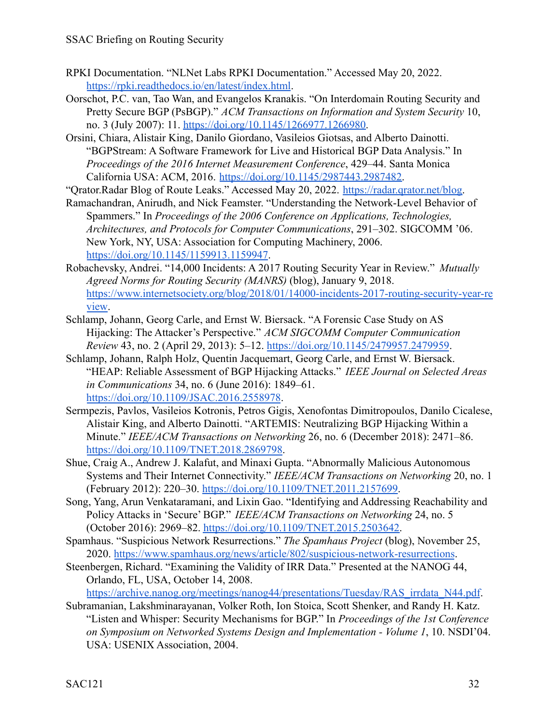- RPKI Documentation. "NLNet Labs RPKI Documentation." Accessed May 20, 2022. <https://rpki.readthedocs.io/en/latest/index.html>.
- Oorschot, P.C. van, Tao Wan, and Evangelos Kranakis. "On Interdomain Routing Security and Pretty Secure BGP (PsBGP)." *ACM Transactions on Information and System Security* 10, no. 3 (July 2007): 11. <https://doi.org/10.1145/1266977.1266980>.
- Orsini, Chiara, Alistair King, Danilo Giordano, Vasileios Giotsas, and Alberto Dainotti. "BGPStream: A Software Framework for Live and Historical BGP Data Analysis." In *Proceedings of the 2016 Internet Measurement Conference*, 429–44. Santa Monica California USA: ACM, 2016. [https://doi.org/10.1145/2987443.2987482.](https://doi.org/10.1145/2987443.2987482)

"Qrator.Radar Blog of Route Leaks." Accessed May 20, 2022. [https://radar.qrator.net/blog.](https://radar.qrator.net/blog)

Ramachandran, Anirudh, and Nick Feamster. "Understanding the Network-Level Behavior of Spammers." In *Proceedings of the 2006 Conference on Applications, Technologies, Architectures, and Protocols for Computer Communications*, 291–302. SIGCOMM '06. New York, NY, USA: Association for Computing Machinery, 2006. <https://doi.org/10.1145/1159913.1159947>.

- Robachevsky, Andrei. "14,000 Incidents: A 2017 Routing Security Year in Review." *Mutually Agreed Norms for Routing Security (MANRS)* (blog), January 9, 2018[.](https://www.internetsociety.org/blog/2018/01/14000-incidents-2017-routing-security-year-review) [https://www.internetsociety.org/blog/2018/01/14000-incidents-2017-routing-security-year-re](https://www.internetsociety.org/blog/2018/01/14000-incidents-2017-routing-security-year-review) [view.](https://www.internetsociety.org/blog/2018/01/14000-incidents-2017-routing-security-year-review)
- Schlamp, Johann, Georg Carle, and Ernst W. Biersack. "A Forensic Case Study on AS Hijacking: The Attacker's Perspective." *ACM SIGCOMM Computer Communication Review* 43, no. 2 (April 29, 2013): 5–12. <https://doi.org/10.1145/2479957.2479959>.
- Schlamp, Johann, Ralph Holz, Quentin Jacquemart, Georg Carle, and Ernst W. Biersack. "HEAP: Reliable Assessment of BGP Hijacking Attacks." *IEEE Journal on Selected Areas in Communications* 34, no. 6 (June 2016): 1849–61[.](https://doi.org/10.1109/JSAC.2016.2558978) <https://doi.org/10.1109/JSAC.2016.2558978>.
- Sermpezis, Pavlos, Vasileios Kotronis, Petros Gigis, Xenofontas Dimitropoulos, Danilo Cicalese, Alistair King, and Alberto Dainotti. "ARTEMIS: Neutralizing BGP Hijacking Within a Minute." *IEEE/ACM Transactions on Networking* 26, no. 6 (December 2018): 2471–86. [https://doi.org/10.1109/TNET.2018.2869798.](https://doi.org/10.1109/TNET.2018.2869798)
- Shue, Craig A., Andrew J. Kalafut, and Minaxi Gupta. "Abnormally Malicious Autonomous Systems and Their Internet Connectivity." *IEEE/ACM Transactions on Networking* 20, no. 1 (February 2012): 220–30. <https://doi.org/10.1109/TNET.2011.2157699>.
- Song, Yang, Arun Venkataramani, and Lixin Gao. "Identifying and Addressing Reachability and Policy Attacks in 'Secure' BGP." *IEEE/ACM Transactions on Networking* 24, no. 5 (October 2016): 2969–82. [https://doi.org/10.1109/TNET.2015.2503642.](https://doi.org/10.1109/TNET.2015.2503642)
- Spamhaus. "Suspicious Network Resurrections." *The Spamhaus Project* (blog), November 25, 2020. <https://www.spamhaus.org/news/article/802/suspicious-network-resurrections>.
- Steenbergen, Richard. "Examining the Validity of IRR Data." Presented at the NANOG 44, Orlando, FL, USA, October 14, 2008.

[https://archive.nanog.org/meetings/nanog44/presentations/Tuesday/RAS\\_irrdata\\_N44.pdf](https://archive.nanog.org/meetings/nanog44/presentations/Tuesday/RAS_irrdata_N44.pdf).

Subramanian, Lakshminarayanan, Volker Roth, Ion Stoica, Scott Shenker, and Randy H. Katz. "Listen and Whisper: Security Mechanisms for BGP." In *Proceedings of the 1st Conference on Symposium on Networked Systems Design and Implementation - Volume 1*, 10. NSDI'04. USA: USENIX Association, 2004.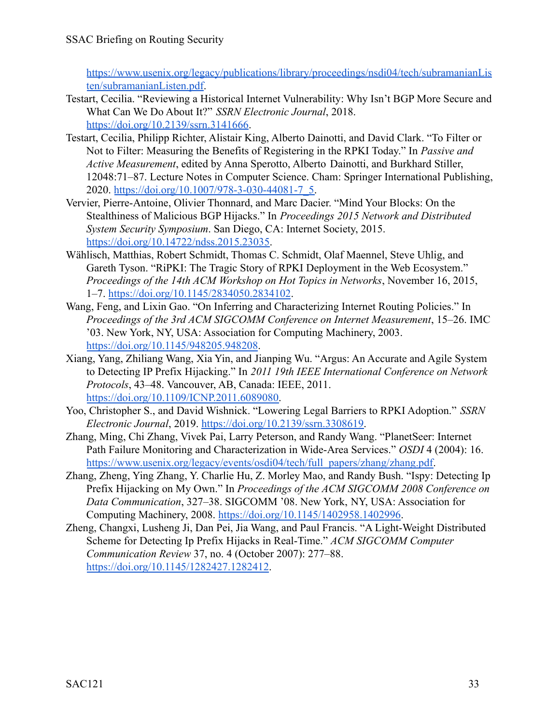[https://www.usenix.org/legacy/publications/library/proceedings/nsdi04/tech/subramanianLis](https://www.usenix.org/legacy/publications/library/proceedings/nsdi04/tech/subramanianListen/subramanianListen.pdf) [ten/subramanianListen.pdf.](https://www.usenix.org/legacy/publications/library/proceedings/nsdi04/tech/subramanianListen/subramanianListen.pdf)

- Testart, Cecilia. "Reviewing a Historical Internet Vulnerability: Why Isn't BGP More Secure and What Can We Do About It?" *SSRN Electronic Journal*, 2018[.](https://doi.org/10.2139/ssrn.3141666) [https://doi.org/10.2139/ssrn.3141666.](https://doi.org/10.2139/ssrn.3141666)
- Testart, Cecilia, Philipp Richter, Alistair King, Alberto Dainotti, and David Clark. "To Filter or Not to Filter: Measuring the Benefits of Registering in the RPKI Today." In *Passive and Active Measurement*, edited by Anna Sperotto, Alberto Dainotti, and Burkhard Stiller, 12048:71–87. Lecture Notes in Computer Science. Cham: Springer International Publishing, 2020. [https://doi.org/10.1007/978-3-030-44081-7\\_5.](https://doi.org/10.1007/978-3-030-44081-7_5)
- Vervier, Pierre-Antoine, Olivier Thonnard, and Marc Dacier. "Mind Your Blocks: On the Stealthiness of Malicious BGP Hijacks." In *Proceedings 2015 Network and Distributed System Security Symposium*. San Diego, CA: Internet Society, 2015. [https://doi.org/10.14722/ndss.2015.23035.](https://doi.org/10.14722/ndss.2015.23035)
- Wählisch, Matthias, Robert Schmidt, Thomas C. Schmidt, Olaf Maennel, Steve Uhlig, and Gareth Tyson. "RiPKI: The Tragic Story of RPKI Deployment in the Web Ecosystem." *Proceedings of the 14th ACM Workshop on Hot Topics in Networks*, November 16, 2015, 1–7. <https://doi.org/10.1145/2834050.2834102>.
- Wang, Feng, and Lixin Gao. "On Inferring and Characterizing Internet Routing Policies." In *Proceedings of the 3rd ACM SIGCOMM Conference on Internet Measurement*, 15–26. IMC '03. New York, NY, USA: Association for Computing Machinery, 2003. <https://doi.org/10.1145/948205.948208>.
- Xiang, Yang, Zhiliang Wang, Xia Yin, and Jianping Wu. "Argus: An Accurate and Agile System to Detecting IP Prefix Hijacking." In *2011 19th IEEE International Conference on Network Protocols*, 43–48. Vancouver, AB, Canada: IEEE, 2011. [https://doi.org/10.1109/ICNP.2011.6089080.](https://doi.org/10.1109/ICNP.2011.6089080)
- Yoo, Christopher S., and David Wishnick. "Lowering Legal Barriers to RPKI Adoption." *SSRN Electronic Journal*, 2019. [https://doi.org/10.2139/ssrn.3308619.](https://doi.org/10.2139/ssrn.3308619)
- Zhang, Ming, Chi Zhang, Vivek Pai, Larry Peterson, and Randy Wang. "PlanetSeer: Internet Path Failure Monitoring and Characterization in Wide-Area Services." *OSDI* 4 (2004): 16. [https://www.usenix.org/legacy/events/osdi04/tech/full\\_papers/zhang/zhang.pdf.](https://www.usenix.org/legacy/events/osdi04/tech/full_papers/zhang/zhang.pdf)
- Zhang, Zheng, Ying Zhang, Y. Charlie Hu, Z. Morley Mao, and Randy Bush. "Ispy: Detecting Ip Prefix Hijacking on My Own." In *Proceedings of the ACM SIGCOMM 2008 Conference on Data Communication*, 327–38. SIGCOMM '08. New York, NY, USA: Association for Computing Machinery, 2008. <https://doi.org/10.1145/1402958.1402996>.
- Zheng, Changxi, Lusheng Ji, Dan Pei, Jia Wang, and Paul Francis. "A Light-Weight Distributed Scheme for Detecting Ip Prefix Hijacks in Real-Time." *ACM SIGCOMM Computer Communication Review* 37, no. 4 (October 2007): 277–88. <https://doi.org/10.1145/1282427.1282412>.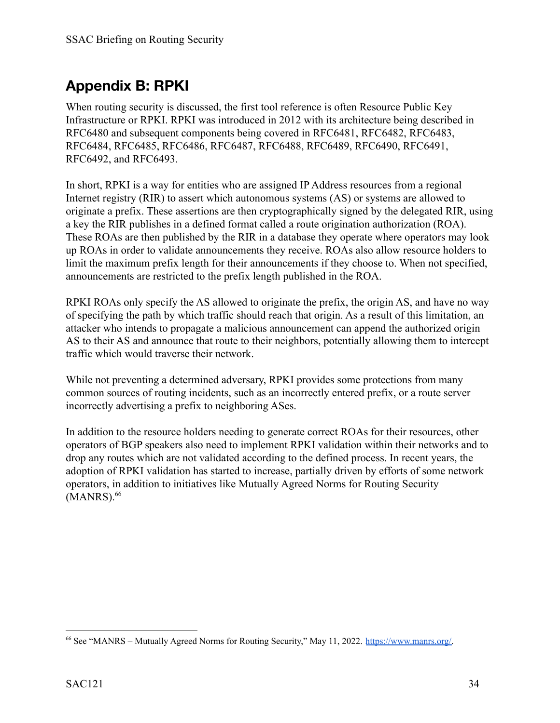# <span id="page-33-0"></span>**Appendix B: RPKI**

When routing security is discussed, the first tool reference is often Resource Public Key Infrastructure or RPKI. RPKI was introduced in 2012 with its architecture being described in RFC6480 and subsequent components being covered in RFC6481, RFC6482, RFC6483, RFC6484, RFC6485, RFC6486, RFC6487, RFC6488, RFC6489, RFC6490, RFC6491, RFC6492, and RFC6493.

In short, RPKI is a way for entities who are assigned IP Address resources from a regional Internet registry (RIR) to assert which autonomous systems (AS) or systems are allowed to originate a prefix. These assertions are then cryptographically signed by the delegated RIR, using a key the RIR publishes in a defined format called a route origination authorization (ROA). These ROAs are then published by the RIR in a database they operate where operators may look up ROAs in order to validate announcements they receive. ROAs also allow resource holders to limit the maximum prefix length for their announcements if they choose to. When not specified, announcements are restricted to the prefix length published in the ROA.

RPKI ROAs only specify the AS allowed to originate the prefix, the origin AS, and have no way of specifying the path by which traffic should reach that origin. As a result of this limitation, an attacker who intends to propagate a malicious announcement can append the authorized origin AS to their AS and announce that route to their neighbors, potentially allowing them to intercept traffic which would traverse their network.

While not preventing a determined adversary, RPKI provides some protections from many common sources of routing incidents, such as an incorrectly entered prefix, or a route server incorrectly advertising a prefix to neighboring ASes.

In addition to the resource holders needing to generate correct ROAs for their resources, other operators of BGP speakers also need to implement RPKI validation within their networks and to drop any routes which are not validated according to the defined process. In recent years, the adoption of RPKI validation has started to increase, partially driven by efforts of some network operators, in addition to initiatives like Mutually Agreed Norms for Routing Security  $(MANRS).<sup>66</sup>$ 

<sup>66</sup> See "MANRS – Mutually Agreed Norms for Routing Security," May 11, 2022. [https://www.manrs.org/.](https://www.manrs.org/)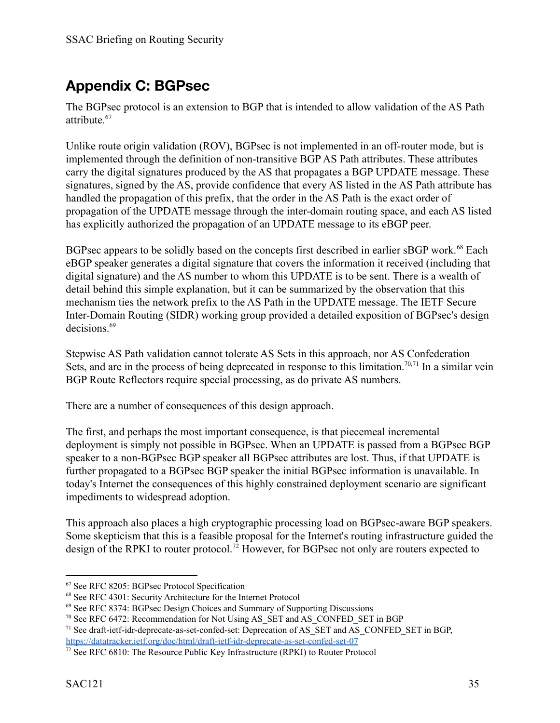# <span id="page-34-0"></span>**Appendix C: BGPsec**

The BGPsec protocol is an extension to BGP that is intended to allow validation of the AS Path attribute.<sup>67</sup>

Unlike route origin validation (ROV), BGPsec is not implemented in an off-router mode, but is implemented through the definition of non-transitive BGP AS Path attributes. These attributes carry the digital signatures produced by the AS that propagates a BGP UPDATE message. These signatures, signed by the AS, provide confidence that every AS listed in the AS Path attribute has handled the propagation of this prefix, that the order in the AS Path is the exact order of propagation of the UPDATE message through the inter-domain routing space, and each AS listed has explicitly authorized the propagation of an UPDATE message to its eBGP peer.

BGPsec appears to be solidly based on the concepts first described in earlier sBGP work.<sup>68</sup> Each eBGP speaker generates a digital signature that covers the information it received (including that digital signature) and the AS number to whom this UPDATE is to be sent. There is a wealth of detail behind this simple explanation, but it can be summarized by the observation that this mechanism ties the network prefix to the AS Path in the UPDATE message. The IETF Secure Inter-Domain Routing (SIDR) working group provided a detailed exposition of BGPsec's design decisions.<sup>69</sup>

Stepwise AS Path validation cannot tolerate AS Sets in this approach, nor AS Confederation Sets, and are in the process of being deprecated in response to this limitation.<sup>70,71</sup> In a similar vein BGP Route Reflectors require special processing, as do private AS numbers.

There are a number of consequences of this design approach.

The first, and perhaps the most important consequence, is that piecemeal incremental deployment is simply not possible in BGPsec. When an UPDATE is passed from a BGPsec BGP speaker to a non-BGPsec BGP speaker all BGPsec attributes are lost. Thus, if that UPDATE is further propagated to a BGPsec BGP speaker the initial BGPsec information is unavailable. In today's Internet the consequences of this highly constrained deployment scenario are significant impediments to widespread adoption.

This approach also places a high cryptographic processing load on BGPsec-aware BGP speakers. Some skepticism that this is a feasible proposal for the Internet's routing infrastructure guided the design of the RPKI to router protocol.<sup>72</sup> However, for BGPsec not only are routers expected to

<sup>67</sup> See RFC 8205: BGPsec Protocol Specification

<sup>68</sup> See RFC 4301: Security Architecture for the Internet Protocol

<sup>69</sup> See RFC 8374: BGPsec Design Choices and Summary of Supporting Discussions

<sup>&</sup>lt;sup>70</sup> See RFC 6472: Recommendation for Not Using AS SET and AS CONFED SET in BGP

<sup>&</sup>lt;sup>71</sup> See draft-ietf-idr-deprecate-as-set-confed-set: Deprecation of AS\_SET and AS\_CONFED\_SET in BGP, <https://datatracker.ietf.org/doc/html/draft-ietf-idr-deprecate-as-set-confed-set-07>

 $72$  See RFC 6810: The Resource Public Key Infrastructure (RPKI) to Router Protocol